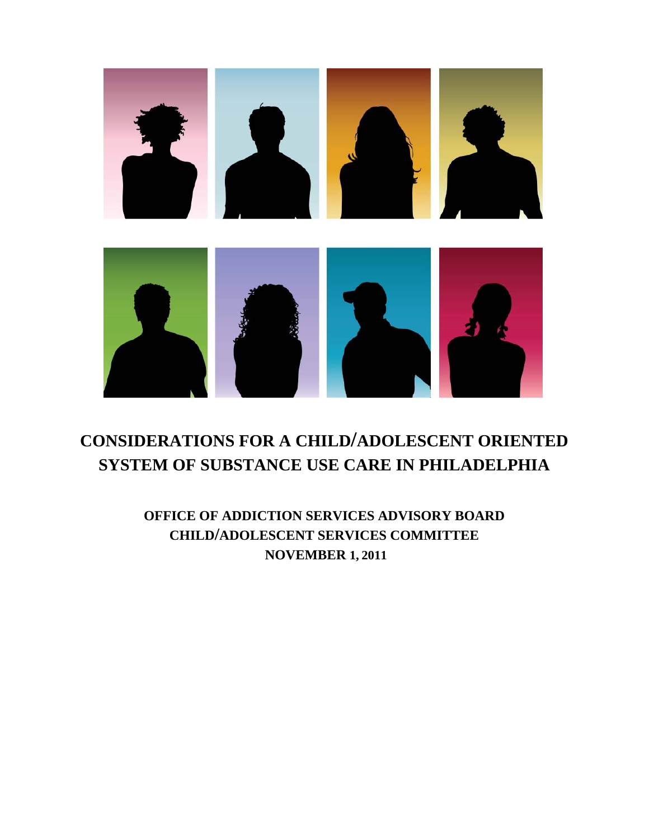

# **CONSIDERATIONS FOR A CHILD/ADOLESCENT ORIENTED SYSTEM OF SUBSTANCE USE CARE IN PHILADELPHIA**

**OFFICE OF ADDICTION SERVICES ADVISORY BOARD CHILD/ADOLESCENT SERVICES COMMITTEE NOVEMBER 1, 2011**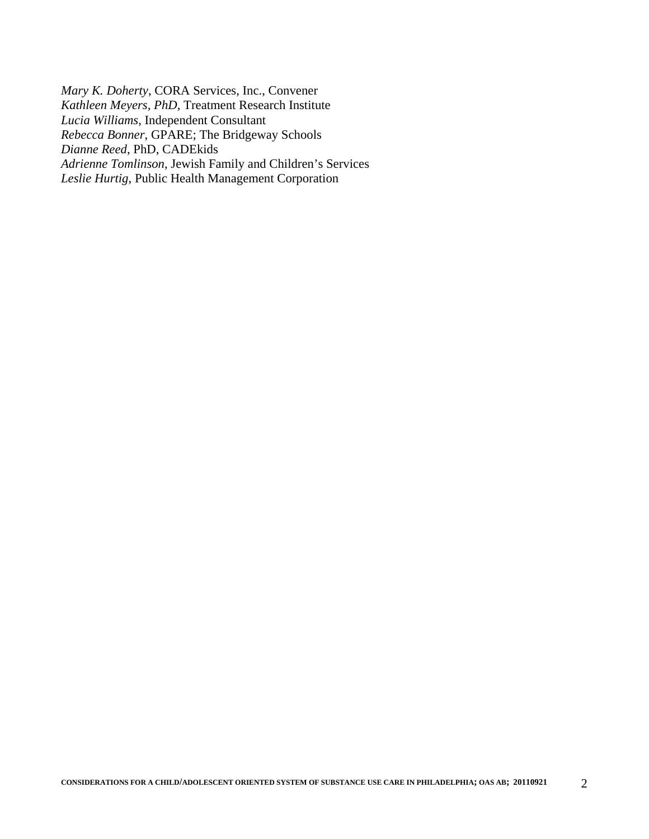*Mary K. Doherty*, CORA Services, Inc., Convener *Kathleen Meyers, PhD*, Treatment Research Institute *Lucia Williams*, Independent Consultant *Rebecca Bonner*, GPARE; The Bridgeway Schools *Dianne Reed*, PhD, CADEkids *Adrienne Tomlinson*, Jewish Family and Children's Services *Leslie Hurtig*, Public Health Management Corporation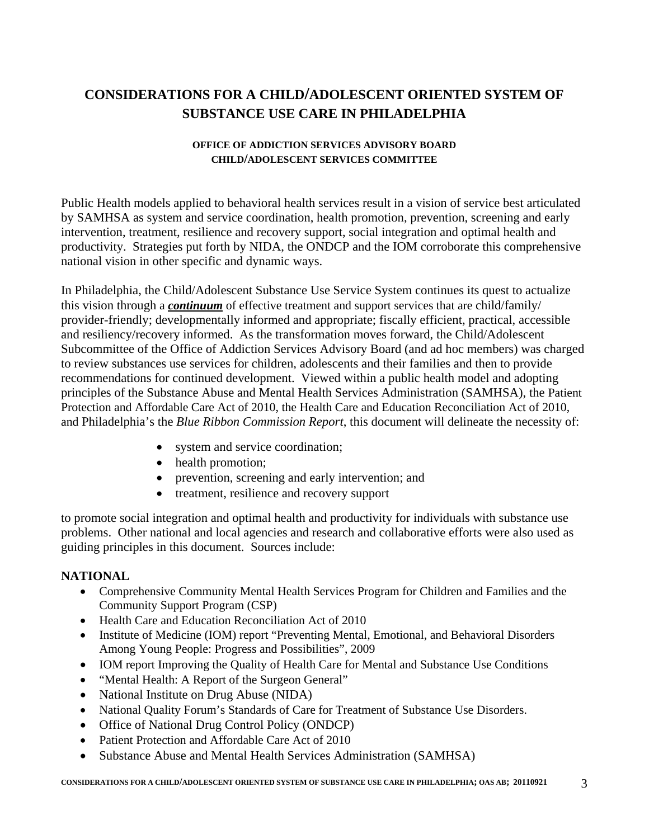## **CONSIDERATIONS FOR A CHILD/ADOLESCENT ORIENTED SYSTEM OF SUBSTANCE USE CARE IN PHILADELPHIA**

#### **OFFICE OF ADDICTION SERVICES ADVISORY BOARD CHILD/ADOLESCENT SERVICES COMMITTEE**

Public Health models applied to behavioral health services result in a vision of service best articulated by SAMHSA as system and service coordination, health promotion, prevention, screening and early intervention, treatment, resilience and recovery support, social integration and optimal health and productivity. Strategies put forth by NIDA, the ONDCP and the IOM corroborate this comprehensive national vision in other specific and dynamic ways.

In Philadelphia, the Child/Adolescent Substance Use Service System continues its quest to actualize this vision through a *continuum* of effective treatment and support services that are child/family/ provider-friendly; developmentally informed and appropriate; fiscally efficient, practical, accessible and resiliency/recovery informed. As the transformation moves forward, the Child/Adolescent Subcommittee of the Office of Addiction Services Advisory Board (and ad hoc members) was charged to review substances use services for children, adolescents and their families and then to provide recommendations for continued development. Viewed within a public health model and adopting principles of the Substance Abuse and Mental Health Services Administration (SAMHSA), the Patient Protection and Affordable Care Act of 2010, the Health Care and Education Reconciliation Act of 2010, and Philadelphia's the *Blue Ribbon Commission Report*, this document will delineate the necessity of:

- system and service coordination;
- health promotion;
- prevention, screening and early intervention; and
- treatment, resilience and recovery support

to promote social integration and optimal health and productivity for individuals with substance use problems. Other national and local agencies and research and collaborative efforts were also used as guiding principles in this document. Sources include:

### **NATIONAL**

- Comprehensive Community Mental Health Services Program for Children and Families and the Community Support Program (CSP)
- Health Care and Education Reconciliation Act of 2010
- Institute of Medicine (IOM) report "Preventing Mental, Emotional, and Behavioral Disorders Among Young People: Progress and Possibilities", 2009
- IOM report Improving the Quality of Health Care for Mental and Substance Use Conditions
- "Mental Health: A Report of the Surgeon General"
- National Institute on Drug Abuse (NIDA)
- National Quality Forum's Standards of Care for Treatment of Substance Use Disorders.
- Office of National Drug Control Policy (ONDCP)
- Patient Protection and Affordable Care Act of 2010
- Substance Abuse and Mental Health Services Administration (SAMHSA)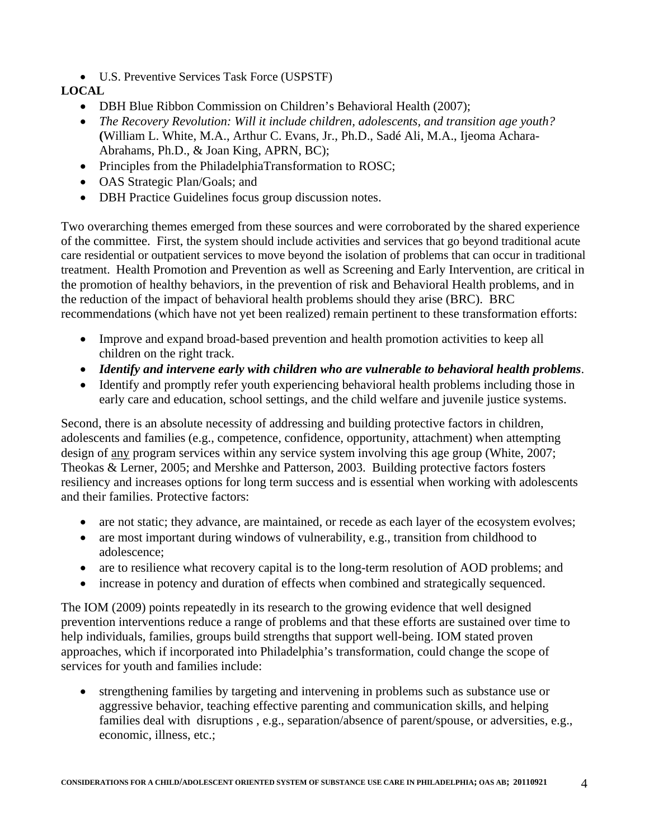U.S. Preventive Services Task Force (USPSTF)

### **LOCAL**

- DBH Blue Ribbon Commission on Children's Behavioral Health (2007);
- *The Recovery Revolution: Will it include children, adolescents, and transition age youth?* **(**William L. White, M.A., Arthur C. Evans, Jr., Ph.D., Sadé Ali, M.A., Ijeoma Achara-Abrahams, Ph.D., & Joan King, APRN, BC);
- Principles from the PhiladelphiaTransformation to ROSC;
- OAS Strategic Plan/Goals; and
- DBH Practice Guidelines focus group discussion notes.

Two overarching themes emerged from these sources and were corroborated by the shared experience of the committee. First, the system should include activities and services that go beyond traditional acute care residential or outpatient services to move beyond the isolation of problems that can occur in traditional treatment. Health Promotion and Prevention as well as Screening and Early Intervention, are critical in the promotion of healthy behaviors, in the prevention of risk and Behavioral Health problems, and in the reduction of the impact of behavioral health problems should they arise (BRC). BRC recommendations (which have not yet been realized) remain pertinent to these transformation efforts:

- Improve and expand broad-based prevention and health promotion activities to keep all children on the right track.
- *Identify and intervene early with children who are vulnerable to behavioral health problems*.
- Identify and promptly refer youth experiencing behavioral health problems including those in early care and education, school settings, and the child welfare and juvenile justice systems.

Second, there is an absolute necessity of addressing and building protective factors in children, adolescents and families (e.g., competence, confidence, opportunity, attachment) when attempting design of any program services within any service system involving this age group (White, 2007; Theokas & Lerner, 2005; and Mershke and Patterson, 2003. Building protective factors fosters resiliency and increases options for long term success and is essential when working with adolescents and their families. Protective factors:

- are not static; they advance, are maintained, or recede as each layer of the ecosystem evolves;
- are most important during windows of vulnerability, e.g., transition from childhood to adolescence;
- are to resilience what recovery capital is to the long-term resolution of AOD problems; and
- increase in potency and duration of effects when combined and strategically sequenced.

The IOM (2009) points repeatedly in its research to the growing evidence that well designed prevention interventions reduce a range of problems and that these efforts are sustained over time to help individuals, families, groups build strengths that support well-being. IOM stated proven approaches, which if incorporated into Philadelphia's transformation, could change the scope of services for youth and families include:

 strengthening families by targeting and intervening in problems such as substance use or aggressive behavior, teaching effective parenting and communication skills, and helping families deal with disruptions , e.g., separation/absence of parent/spouse, or adversities, e.g., economic, illness, etc.;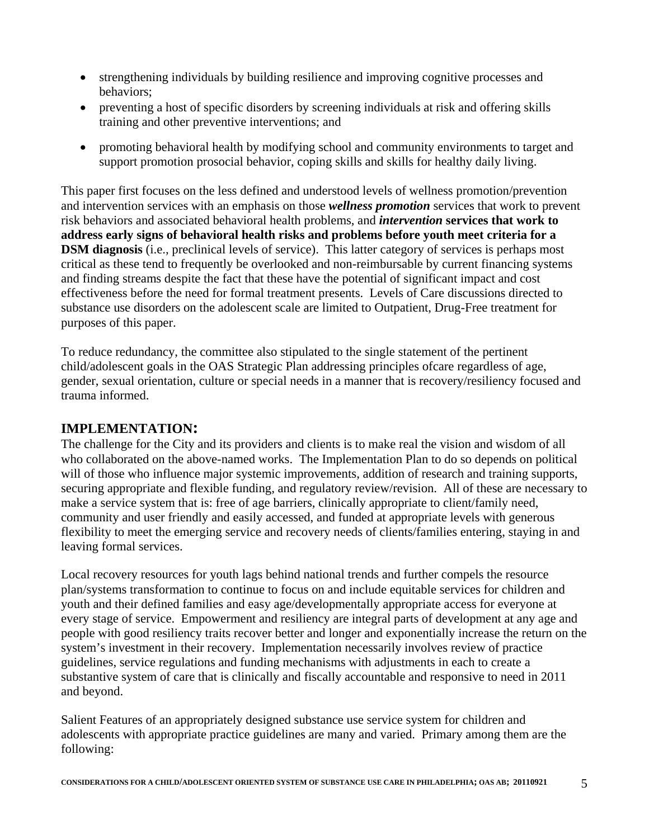- strengthening individuals by building resilience and improving cognitive processes and behaviors;
- preventing a host of specific disorders by screening individuals at risk and offering skills training and other preventive interventions; and
- promoting behavioral health by modifying school and community environments to target and support promotion prosocial behavior, coping skills and skills for healthy daily living.

This paper first focuses on the less defined and understood levels of wellness promotion/prevention and intervention services with an emphasis on those *wellness promotion* services that work to prevent risk behaviors and associated behavioral health problems, and *intervention* **services that work to address early signs of behavioral health risks and problems before youth meet criteria for a DSM diagnosis** (i.e., preclinical levels of service). This latter category of services is perhaps most critical as these tend to frequently be overlooked and non-reimbursable by current financing systems and finding streams despite the fact that these have the potential of significant impact and cost effectiveness before the need for formal treatment presents. Levels of Care discussions directed to substance use disorders on the adolescent scale are limited to Outpatient, Drug-Free treatment for purposes of this paper.

To reduce redundancy, the committee also stipulated to the single statement of the pertinent child/adolescent goals in the OAS Strategic Plan addressing principles ofcare regardless of age, gender, sexual orientation, culture or special needs in a manner that is recovery/resiliency focused and trauma informed.

### **IMPLEMENTATION:**

The challenge for the City and its providers and clients is to make real the vision and wisdom of all who collaborated on the above-named works. The Implementation Plan to do so depends on political will of those who influence major systemic improvements, addition of research and training supports, securing appropriate and flexible funding, and regulatory review/revision. All of these are necessary to make a service system that is: free of age barriers, clinically appropriate to client/family need, community and user friendly and easily accessed, and funded at appropriate levels with generous flexibility to meet the emerging service and recovery needs of clients/families entering, staying in and leaving formal services.

Local recovery resources for youth lags behind national trends and further compels the resource plan/systems transformation to continue to focus on and include equitable services for children and youth and their defined families and easy age/developmentally appropriate access for everyone at every stage of service. Empowerment and resiliency are integral parts of development at any age and people with good resiliency traits recover better and longer and exponentially increase the return on the system's investment in their recovery. Implementation necessarily involves review of practice guidelines, service regulations and funding mechanisms with adjustments in each to create a substantive system of care that is clinically and fiscally accountable and responsive to need in 2011 and beyond.

Salient Features of an appropriately designed substance use service system for children and adolescents with appropriate practice guidelines are many and varied. Primary among them are the following: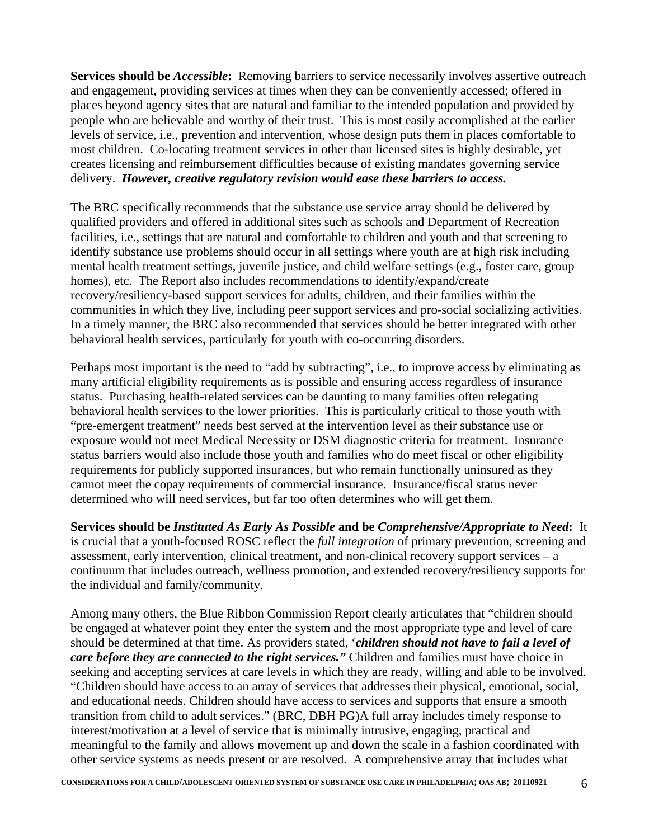**Services should be** *Accessible***:** Removing barriers to service necessarily involves assertive outreach and engagement, providing services at times when they can be conveniently accessed; offered in places beyond agency sites that are natural and familiar to the intended population and provided by people who are believable and worthy of their trust. This is most easily accomplished at the earlier levels of service, i.e., prevention and intervention, whose design puts them in places comfortable to most children. Co-locating treatment services in other than licensed sites is highly desirable, yet creates licensing and reimbursement difficulties because of existing mandates governing service delivery. *However, creative regulatory revision would ease these barriers to access.* 

The BRC specifically recommends that the substance use service array should be delivered by qualified providers and offered in additional sites such as schools and Department of Recreation facilities, i.e., settings that are natural and comfortable to children and youth and that screening to identify substance use problems should occur in all settings where youth are at high risk including mental health treatment settings, juvenile justice, and child welfare settings (e.g., foster care, group homes), etc. The Report also includes recommendations to identify/expand/create recovery/resiliency-based support services for adults, children, and their families within the communities in which they live, including peer support services and pro-social socializing activities. In a timely manner, the BRC also recommended that services should be better integrated with other behavioral health services, particularly for youth with co-occurring disorders.

Perhaps most important is the need to "add by subtracting", i.e., to improve access by eliminating as many artificial eligibility requirements as is possible and ensuring access regardless of insurance status. Purchasing health-related services can be daunting to many families often relegating behavioral health services to the lower priorities. This is particularly critical to those youth with "pre-emergent treatment" needs best served at the intervention level as their substance use or exposure would not meet Medical Necessity or DSM diagnostic criteria for treatment. Insurance status barriers would also include those youth and families who do meet fiscal or other eligibility requirements for publicly supported insurances, but who remain functionally uninsured as they cannot meet the copay requirements of commercial insurance. Insurance/fiscal status never determined who will need services, but far too often determines who will get them.

**Services should be** *Instituted As Early As Possible* **and be** *Comprehensive/Appropriate to Need***:** It is crucial that a youth-focused ROSC reflect the *full integration* of primary prevention, screening and assessment, early intervention, clinical treatment, and non-clinical recovery support services – a continuum that includes outreach, wellness promotion, and extended recovery/resiliency supports for the individual and family/community.

Among many others, the Blue Ribbon Commission Report clearly articulates that "children should be engaged at whatever point they enter the system and the most appropriate type and level of care should be determined at that time. As providers stated, '*children should not have to fail a level of care before they are connected to the right services."* Children and families must have choice in seeking and accepting services at care levels in which they are ready, willing and able to be involved. "Children should have access to an array of services that addresses their physical, emotional, social, and educational needs. Children should have access to services and supports that ensure a smooth transition from child to adult services." (BRC, DBH PG)A full array includes timely response to interest/motivation at a level of service that is minimally intrusive, engaging, practical and meaningful to the family and allows movement up and down the scale in a fashion coordinated with other service systems as needs present or are resolved. A comprehensive array that includes what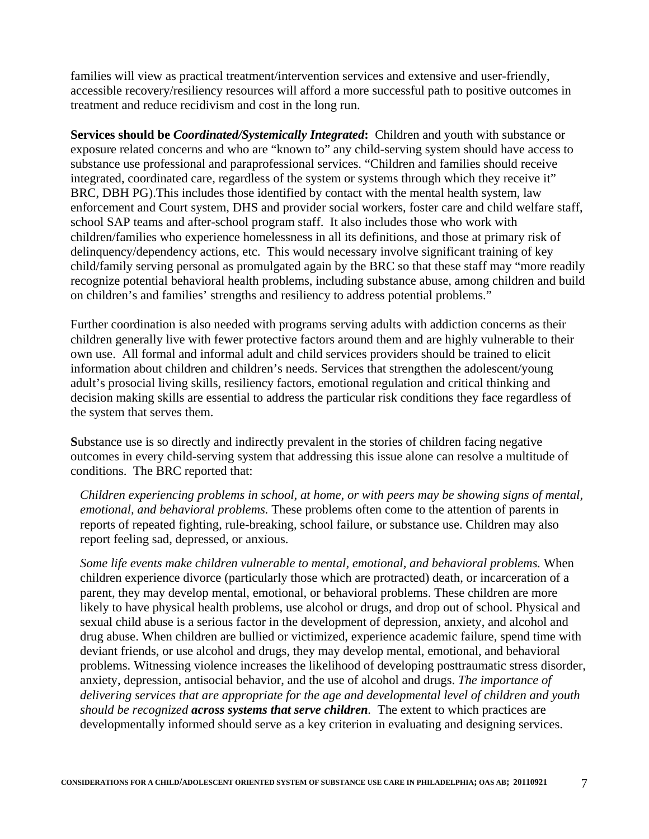families will view as practical treatment/intervention services and extensive and user-friendly, accessible recovery/resiliency resources will afford a more successful path to positive outcomes in treatment and reduce recidivism and cost in the long run.

**Services should be** *Coordinated/Systemically Integrated***:** Children and youth with substance or exposure related concerns and who are "known to" any child-serving system should have access to substance use professional and paraprofessional services. "Children and families should receive integrated, coordinated care, regardless of the system or systems through which they receive it" BRC, DBH PG).This includes those identified by contact with the mental health system, law enforcement and Court system, DHS and provider social workers, foster care and child welfare staff, school SAP teams and after-school program staff. It also includes those who work with children/families who experience homelessness in all its definitions, and those at primary risk of delinquency/dependency actions, etc. This would necessary involve significant training of key child/family serving personal as promulgated again by the BRC so that these staff may "more readily recognize potential behavioral health problems, including substance abuse, among children and build on children's and families' strengths and resiliency to address potential problems."

Further coordination is also needed with programs serving adults with addiction concerns as their children generally live with fewer protective factors around them and are highly vulnerable to their own use. All formal and informal adult and child services providers should be trained to elicit information about children and children's needs. Services that strengthen the adolescent/young adult's prosocial living skills, resiliency factors, emotional regulation and critical thinking and decision making skills are essential to address the particular risk conditions they face regardless of the system that serves them.

**S**ubstance use is so directly and indirectly prevalent in the stories of children facing negative outcomes in every child-serving system that addressing this issue alone can resolve a multitude of conditions. The BRC reported that:

*Children experiencing problems in school, at home, or with peers may be showing signs of mental, emotional, and behavioral problems.* These problems often come to the attention of parents in reports of repeated fighting, rule-breaking, school failure, or substance use. Children may also report feeling sad, depressed, or anxious.

*Some life events make children vulnerable to mental, emotional, and behavioral problems.* When children experience divorce (particularly those which are protracted) death, or incarceration of a parent, they may develop mental, emotional, or behavioral problems. These children are more likely to have physical health problems, use alcohol or drugs, and drop out of school. Physical and sexual child abuse is a serious factor in the development of depression, anxiety, and alcohol and drug abuse. When children are bullied or victimized, experience academic failure, spend time with deviant friends, or use alcohol and drugs, they may develop mental, emotional, and behavioral problems. Witnessing violence increases the likelihood of developing posttraumatic stress disorder, anxiety, depression, antisocial behavior, and the use of alcohol and drugs. *The importance of delivering services that are appropriate for the age and developmental level of children and youth should be recognized across systems that serve children.* The extent to which practices are developmentally informed should serve as a key criterion in evaluating and designing services.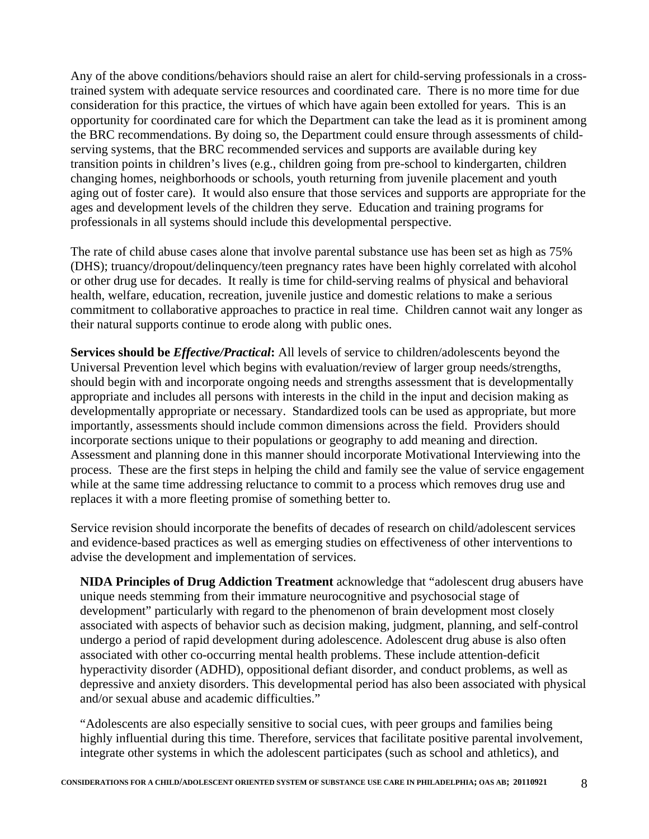Any of the above conditions/behaviors should raise an alert for child-serving professionals in a crosstrained system with adequate service resources and coordinated care. There is no more time for due consideration for this practice, the virtues of which have again been extolled for years. This is an opportunity for coordinated care for which the Department can take the lead as it is prominent among the BRC recommendations. By doing so, the Department could ensure through assessments of childserving systems, that the BRC recommended services and supports are available during key transition points in children's lives (e.g., children going from pre-school to kindergarten, children changing homes, neighborhoods or schools, youth returning from juvenile placement and youth aging out of foster care). It would also ensure that those services and supports are appropriate for the ages and development levels of the children they serve. Education and training programs for professionals in all systems should include this developmental perspective.

The rate of child abuse cases alone that involve parental substance use has been set as high as 75% (DHS); truancy/dropout/delinquency/teen pregnancy rates have been highly correlated with alcohol or other drug use for decades. It really is time for child-serving realms of physical and behavioral health, welfare, education, recreation, juvenile justice and domestic relations to make a serious commitment to collaborative approaches to practice in real time. Children cannot wait any longer as their natural supports continue to erode along with public ones.

**Services should be** *Effective/Practical***:** All levels of service to children/adolescents beyond the Universal Prevention level which begins with evaluation/review of larger group needs/strengths, should begin with and incorporate ongoing needs and strengths assessment that is developmentally appropriate and includes all persons with interests in the child in the input and decision making as developmentally appropriate or necessary. Standardized tools can be used as appropriate, but more importantly, assessments should include common dimensions across the field. Providers should incorporate sections unique to their populations or geography to add meaning and direction. Assessment and planning done in this manner should incorporate Motivational Interviewing into the process. These are the first steps in helping the child and family see the value of service engagement while at the same time addressing reluctance to commit to a process which removes drug use and replaces it with a more fleeting promise of something better to.

Service revision should incorporate the benefits of decades of research on child/adolescent services and evidence-based practices as well as emerging studies on effectiveness of other interventions to advise the development and implementation of services.

**NIDA Principles of Drug Addiction Treatment** acknowledge that "adolescent drug abusers have unique needs stemming from their immature neurocognitive and psychosocial stage of development" particularly with regard to the phenomenon of brain development most closely associated with aspects of behavior such as decision making, judgment, planning, and self-control undergo a period of rapid development during adolescence. Adolescent drug abuse is also often associated with other co-occurring mental health problems. These include attention-deficit hyperactivity disorder (ADHD), oppositional defiant disorder, and conduct problems, as well as depressive and anxiety disorders. This developmental period has also been associated with physical and/or sexual abuse and academic difficulties."

"Adolescents are also especially sensitive to social cues, with peer groups and families being highly influential during this time. Therefore, services that facilitate positive parental involvement, integrate other systems in which the adolescent participates (such as school and athletics), and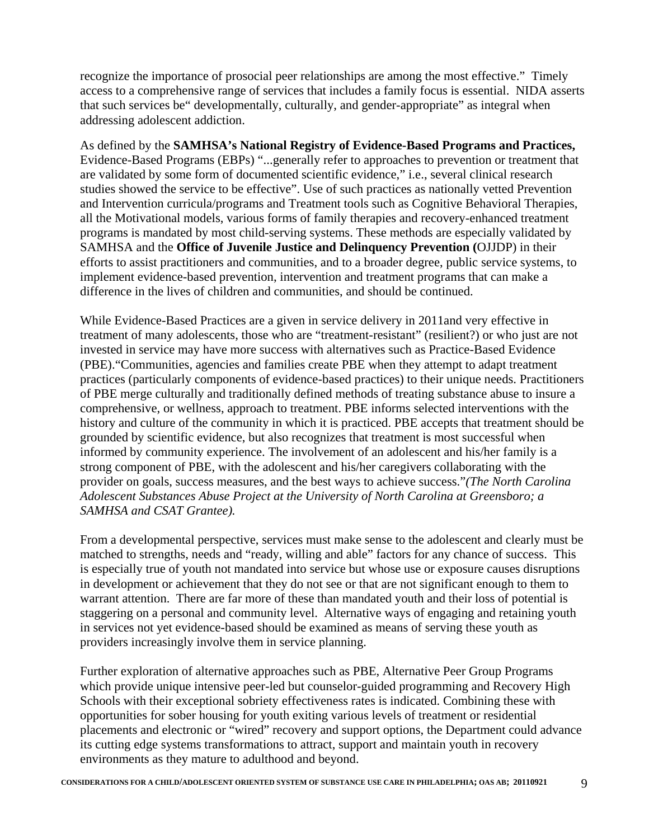recognize the importance of prosocial peer relationships are among the most effective." Timely access to a comprehensive range of services that includes a family focus is essential. NIDA asserts that such services be" developmentally, culturally, and gender-appropriate" as integral when addressing adolescent addiction.

As defined by the **SAMHSA's National Registry of Evidence-Based Programs and Practices,**  Evidence-Based Programs (EBPs) "...generally refer to approaches to prevention or treatment that are validated by some form of documented scientific evidence," i.e., several clinical research studies showed the service to be effective". Use of such practices as nationally vetted Prevention and Intervention curricula/programs and Treatment tools such as Cognitive Behavioral Therapies, all the Motivational models, various forms of family therapies and recovery-enhanced treatment programs is mandated by most child-serving systems. These methods are especially validated by SAMHSA and the **Office of Juvenile Justice and Delinquency Prevention (**OJJDP) in their efforts to assist practitioners and communities, and to a broader degree, public service systems, to implement evidence-based prevention, intervention and treatment programs that can make a difference in the lives of children and communities, and should be continued.

While Evidence-Based Practices are a given in service delivery in 2011and very effective in treatment of many adolescents, those who are "treatment-resistant" (resilient?) or who just are not invested in service may have more success with alternatives such as Practice-Based Evidence (PBE)."Communities, agencies and families create PBE when they attempt to adapt treatment practices (particularly components of evidence-based practices) to their unique needs. Practitioners of PBE merge culturally and traditionally defined methods of treating substance abuse to insure a comprehensive, or wellness, approach to treatment. PBE informs selected interventions with the history and culture of the community in which it is practiced. PBE accepts that treatment should be grounded by scientific evidence, but also recognizes that treatment is most successful when informed by community experience. The involvement of an adolescent and his/her family is a strong component of PBE, with the adolescent and his/her caregivers collaborating with the provider on goals, success measures, and the best ways to achieve success."*(The North Carolina Adolescent Substances Abuse Project at the University of North Carolina at Greensboro; a SAMHSA and CSAT Grantee).*

From a developmental perspective, services must make sense to the adolescent and clearly must be matched to strengths, needs and "ready, willing and able" factors for any chance of success. This is especially true of youth not mandated into service but whose use or exposure causes disruptions in development or achievement that they do not see or that are not significant enough to them to warrant attention. There are far more of these than mandated youth and their loss of potential is staggering on a personal and community level. Alternative ways of engaging and retaining youth in services not yet evidence-based should be examined as means of serving these youth as providers increasingly involve them in service planning.

Further exploration of alternative approaches such as PBE, Alternative Peer Group Programs which provide unique intensive peer-led but counselor-guided programming and Recovery High Schools with their exceptional sobriety effectiveness rates is indicated. Combining these with opportunities for sober housing for youth exiting various levels of treatment or residential placements and electronic or "wired" recovery and support options, the Department could advance its cutting edge systems transformations to attract, support and maintain youth in recovery environments as they mature to adulthood and beyond.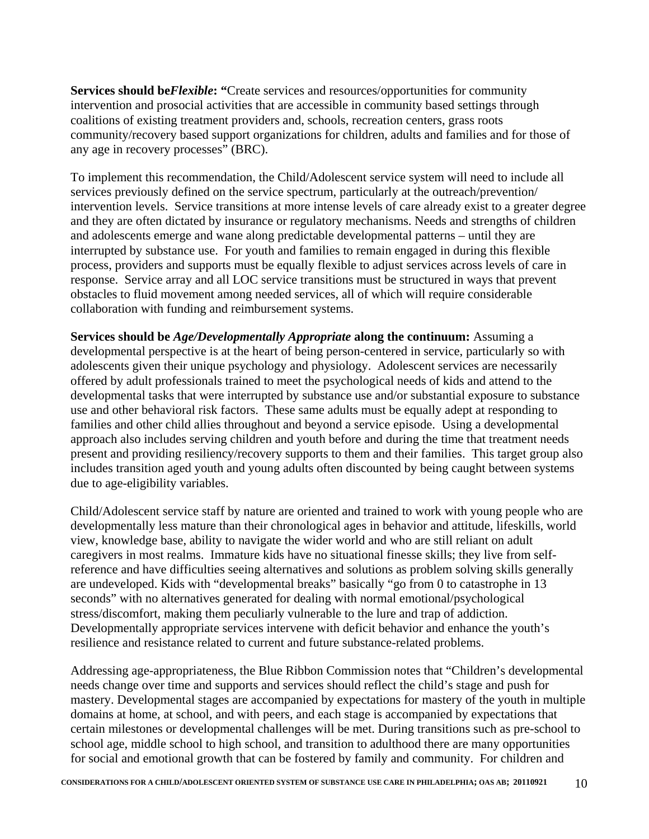**Services should be***Flexible***: "**Create services and resources/opportunities for community intervention and prosocial activities that are accessible in community based settings through coalitions of existing treatment providers and, schools, recreation centers, grass roots community/recovery based support organizations for children, adults and families and for those of any age in recovery processes" (BRC).

To implement this recommendation, the Child/Adolescent service system will need to include all services previously defined on the service spectrum, particularly at the outreach/prevention/ intervention levels. Service transitions at more intense levels of care already exist to a greater degree and they are often dictated by insurance or regulatory mechanisms. Needs and strengths of children and adolescents emerge and wane along predictable developmental patterns – until they are interrupted by substance use. For youth and families to remain engaged in during this flexible process, providers and supports must be equally flexible to adjust services across levels of care in response. Service array and all LOC service transitions must be structured in ways that prevent obstacles to fluid movement among needed services, all of which will require considerable collaboration with funding and reimbursement systems.

**Services should be** *Age/Developmentally Appropriate* **along the continuum:** Assuming a developmental perspective is at the heart of being person-centered in service, particularly so with adolescents given their unique psychology and physiology. Adolescent services are necessarily offered by adult professionals trained to meet the psychological needs of kids and attend to the developmental tasks that were interrupted by substance use and/or substantial exposure to substance use and other behavioral risk factors. These same adults must be equally adept at responding to families and other child allies throughout and beyond a service episode. Using a developmental approach also includes serving children and youth before and during the time that treatment needs present and providing resiliency/recovery supports to them and their families. This target group also includes transition aged youth and young adults often discounted by being caught between systems due to age-eligibility variables.

Child/Adolescent service staff by nature are oriented and trained to work with young people who are developmentally less mature than their chronological ages in behavior and attitude, lifeskills, world view, knowledge base, ability to navigate the wider world and who are still reliant on adult caregivers in most realms. Immature kids have no situational finesse skills; they live from selfreference and have difficulties seeing alternatives and solutions as problem solving skills generally are undeveloped. Kids with "developmental breaks" basically "go from 0 to catastrophe in 13 seconds" with no alternatives generated for dealing with normal emotional/psychological stress/discomfort, making them peculiarly vulnerable to the lure and trap of addiction. Developmentally appropriate services intervene with deficit behavior and enhance the youth's resilience and resistance related to current and future substance-related problems.

Addressing age-appropriateness, the Blue Ribbon Commission notes that "Children's developmental needs change over time and supports and services should reflect the child's stage and push for mastery. Developmental stages are accompanied by expectations for mastery of the youth in multiple domains at home, at school, and with peers, and each stage is accompanied by expectations that certain milestones or developmental challenges will be met. During transitions such as pre-school to school age, middle school to high school, and transition to adulthood there are many opportunities for social and emotional growth that can be fostered by family and community. For children and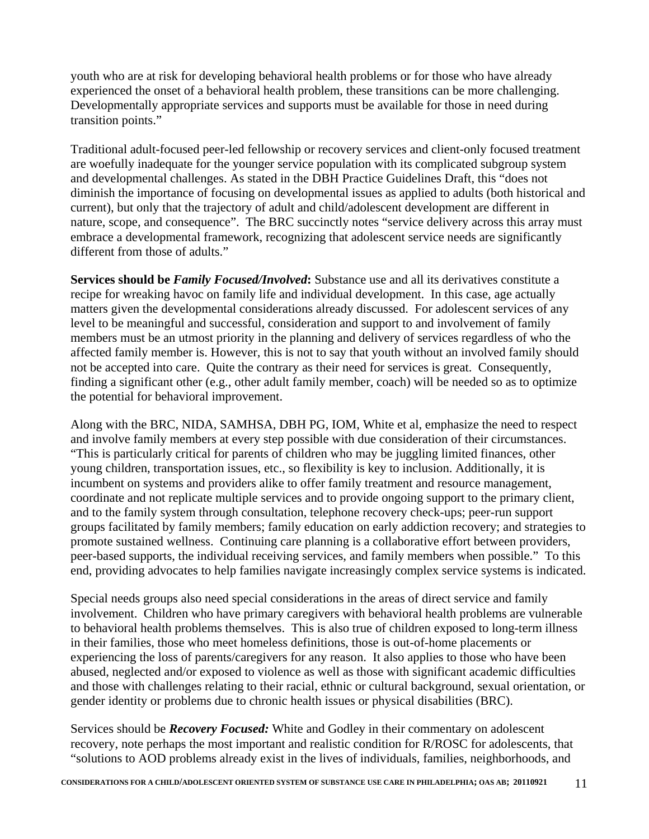youth who are at risk for developing behavioral health problems or for those who have already experienced the onset of a behavioral health problem, these transitions can be more challenging. Developmentally appropriate services and supports must be available for those in need during transition points."

Traditional adult-focused peer-led fellowship or recovery services and client-only focused treatment are woefully inadequate for the younger service population with its complicated subgroup system and developmental challenges. As stated in the DBH Practice Guidelines Draft, this "does not diminish the importance of focusing on developmental issues as applied to adults (both historical and current), but only that the trajectory of adult and child/adolescent development are different in nature, scope, and consequence". The BRC succinctly notes "service delivery across this array must embrace a developmental framework, recognizing that adolescent service needs are significantly different from those of adults."

**Services should be** *Family Focused/Involved***:** Substance use and all its derivatives constitute a recipe for wreaking havoc on family life and individual development. In this case, age actually matters given the developmental considerations already discussed. For adolescent services of any level to be meaningful and successful, consideration and support to and involvement of family members must be an utmost priority in the planning and delivery of services regardless of who the affected family member is. However, this is not to say that youth without an involved family should not be accepted into care. Quite the contrary as their need for services is great. Consequently, finding a significant other (e.g., other adult family member, coach) will be needed so as to optimize the potential for behavioral improvement.

Along with the BRC, NIDA, SAMHSA, DBH PG, IOM, White et al, emphasize the need to respect and involve family members at every step possible with due consideration of their circumstances. "This is particularly critical for parents of children who may be juggling limited finances, other young children, transportation issues, etc., so flexibility is key to inclusion. Additionally, it is incumbent on systems and providers alike to offer family treatment and resource management, coordinate and not replicate multiple services and to provide ongoing support to the primary client, and to the family system through consultation, telephone recovery check-ups; peer-run support groups facilitated by family members; family education on early addiction recovery; and strategies to promote sustained wellness. Continuing care planning is a collaborative effort between providers, peer-based supports, the individual receiving services, and family members when possible." To this end, providing advocates to help families navigate increasingly complex service systems is indicated.

Special needs groups also need special considerations in the areas of direct service and family involvement. Children who have primary caregivers with behavioral health problems are vulnerable to behavioral health problems themselves. This is also true of children exposed to long-term illness in their families, those who meet homeless definitions, those is out-of-home placements or experiencing the loss of parents/caregivers for any reason. It also applies to those who have been abused, neglected and/or exposed to violence as well as those with significant academic difficulties and those with challenges relating to their racial, ethnic or cultural background, sexual orientation, or gender identity or problems due to chronic health issues or physical disabilities (BRC).

Services should be *Recovery Focused:* White and Godley in their commentary on adolescent recovery, note perhaps the most important and realistic condition for R/ROSC for adolescents, that "solutions to AOD problems already exist in the lives of individuals, families, neighborhoods, and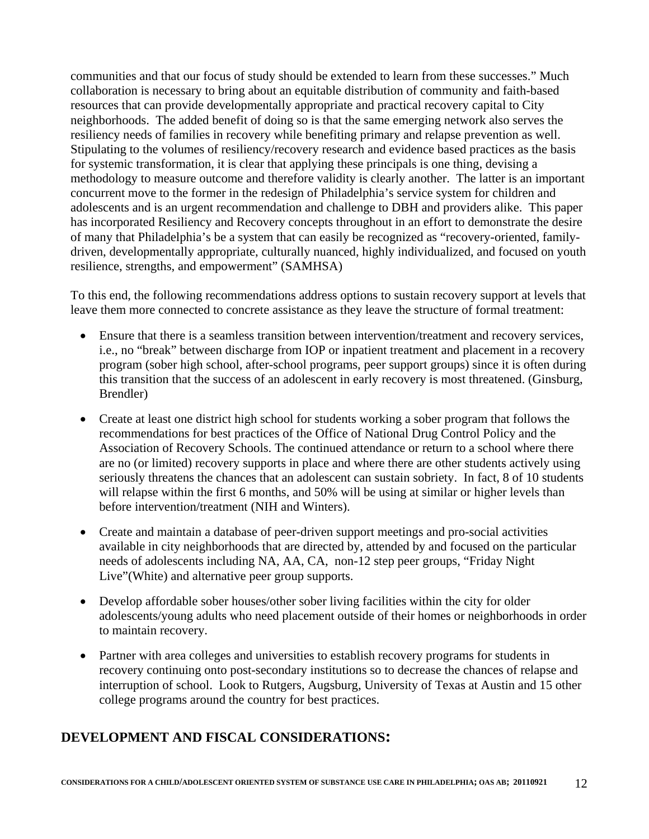communities and that our focus of study should be extended to learn from these successes." Much collaboration is necessary to bring about an equitable distribution of community and faith-based resources that can provide developmentally appropriate and practical recovery capital to City neighborhoods. The added benefit of doing so is that the same emerging network also serves the resiliency needs of families in recovery while benefiting primary and relapse prevention as well. Stipulating to the volumes of resiliency/recovery research and evidence based practices as the basis for systemic transformation, it is clear that applying these principals is one thing, devising a methodology to measure outcome and therefore validity is clearly another. The latter is an important concurrent move to the former in the redesign of Philadelphia's service system for children and adolescents and is an urgent recommendation and challenge to DBH and providers alike. This paper has incorporated Resiliency and Recovery concepts throughout in an effort to demonstrate the desire of many that Philadelphia's be a system that can easily be recognized as "recovery-oriented, familydriven, developmentally appropriate, culturally nuanced, highly individualized, and focused on youth resilience, strengths, and empowerment" (SAMHSA)

To this end, the following recommendations address options to sustain recovery support at levels that leave them more connected to concrete assistance as they leave the structure of formal treatment:

- Ensure that there is a seamless transition between intervention/treatment and recovery services, i.e., no "break" between discharge from IOP or inpatient treatment and placement in a recovery program (sober high school, after-school programs, peer support groups) since it is often during this transition that the success of an adolescent in early recovery is most threatened. (Ginsburg, Brendler)
- Create at least one district high school for students working a sober program that follows the recommendations for best practices of the Office of National Drug Control Policy and the Association of Recovery Schools. The continued attendance or return to a school where there are no (or limited) recovery supports in place and where there are other students actively using seriously threatens the chances that an adolescent can sustain sobriety. In fact, 8 of 10 students will relapse within the first 6 months, and 50% will be using at similar or higher levels than before intervention/treatment (NIH and Winters).
- Create and maintain a database of peer-driven support meetings and pro-social activities available in city neighborhoods that are directed by, attended by and focused on the particular needs of adolescents including NA, AA, CA, non-12 step peer groups, "Friday Night Live"(White) and alternative peer group supports.
- Develop affordable sober houses/other sober living facilities within the city for older adolescents/young adults who need placement outside of their homes or neighborhoods in order to maintain recovery.
- Partner with area colleges and universities to establish recovery programs for students in recovery continuing onto post-secondary institutions so to decrease the chances of relapse and interruption of school. Look to Rutgers, Augsburg, University of Texas at Austin and 15 other college programs around the country for best practices.

### **DEVELOPMENT AND FISCAL CONSIDERATIONS:**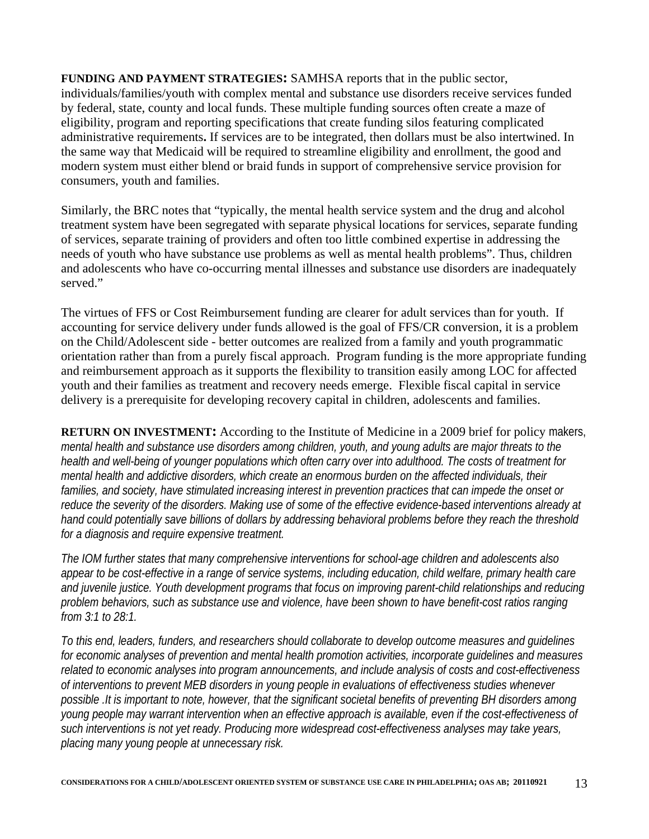**FUNDING AND PAYMENT STRATEGIES:** SAMHSA reports that in the public sector, individuals/families/youth with complex mental and substance use disorders receive services funded by federal, state, county and local funds. These multiple funding sources often create a maze of eligibility, program and reporting specifications that create funding silos featuring complicated administrative requirements**.** If services are to be integrated, then dollars must be also intertwined. In the same way that Medicaid will be required to streamline eligibility and enrollment, the good and modern system must either blend or braid funds in support of comprehensive service provision for consumers, youth and families.

Similarly, the BRC notes that "typically, the mental health service system and the drug and alcohol treatment system have been segregated with separate physical locations for services, separate funding of services, separate training of providers and often too little combined expertise in addressing the needs of youth who have substance use problems as well as mental health problems". Thus, children and adolescents who have co-occurring mental illnesses and substance use disorders are inadequately served."

The virtues of FFS or Cost Reimbursement funding are clearer for adult services than for youth. If accounting for service delivery under funds allowed is the goal of FFS/CR conversion, it is a problem on the Child/Adolescent side - better outcomes are realized from a family and youth programmatic orientation rather than from a purely fiscal approach. Program funding is the more appropriate funding and reimbursement approach as it supports the flexibility to transition easily among LOC for affected youth and their families as treatment and recovery needs emerge. Flexible fiscal capital in service delivery is a prerequisite for developing recovery capital in children, adolescents and families.

**RETURN ON INVESTMENT:** According to the Institute of Medicine in a 2009 brief for policy makers, *mental health and substance use disorders among children, youth, and young adults are major threats to the health and well-being of younger populations which often carry over into adulthood. The costs of treatment for mental health and addictive disorders, which create an enormous burden on the affected individuals, their families, and society, have stimulated increasing interest in prevention practices that can impede the onset or reduce the severity of the disorders. Making use of some of the effective evidence-based interventions already at hand could potentially save billions of dollars by addressing behavioral problems before they reach the threshold for a diagnosis and require expensive treatment.*

*The IOM further states that many comprehensive interventions for school-age children and adolescents also appear to be cost-effective in a range of service systems, including education, child welfare, primary health care and juvenile justice. Youth development programs that focus on improving parent-child relationships and reducing problem behaviors, such as substance use and violence, have been shown to have benefit-cost ratios ranging from 3:1 to 28:1.* 

*To this end, leaders, funders, and researchers should collaborate to develop outcome measures and guidelines for economic analyses of prevention and mental health promotion activities, incorporate guidelines and measures related to economic analyses into program announcements, and include analysis of costs and cost-effectiveness of interventions to prevent MEB disorders in young people in evaluations of effectiveness studies whenever possible .It is important to note, however, that the significant societal benefits of preventing BH disorders among young people may warrant intervention when an effective approach is available, even if the cost-effectiveness of such interventions is not yet ready. Producing more widespread cost-effectiveness analyses may take years, placing many young people at unnecessary risk.*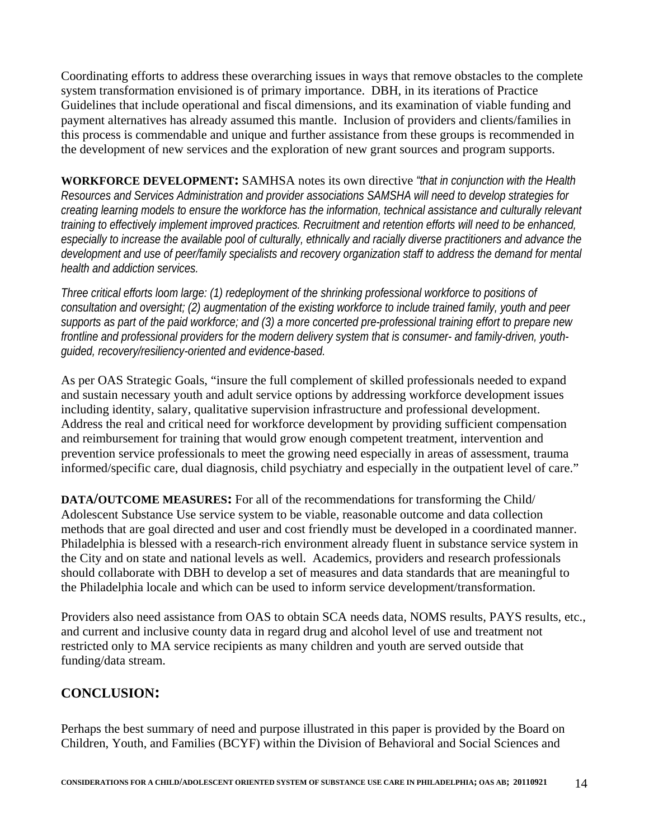Coordinating efforts to address these overarching issues in ways that remove obstacles to the complete system transformation envisioned is of primary importance. DBH, in its iterations of Practice Guidelines that include operational and fiscal dimensions, and its examination of viable funding and payment alternatives has already assumed this mantle. Inclusion of providers and clients/families in this process is commendable and unique and further assistance from these groups is recommended in the development of new services and the exploration of new grant sources and program supports.

**WORKFORCE DEVELOPMENT:** SAMHSA notes its own directive *"that in conjunction with the Health Resources and Services Administration and provider associations SAMSHA will need to develop strategies for creating learning models to ensure the workforce has the information, technical assistance and culturally relevant training to effectively implement improved practices. Recruitment and retention efforts will need to be enhanced, especially to increase the available pool of culturally, ethnically and racially diverse practitioners and advance the development and use of peer/family specialists and recovery organization staff to address the demand for mental health and addiction services.* 

*Three critical efforts loom large: (1) redeployment of the shrinking professional workforce to positions of consultation and oversight; (2) augmentation of the existing workforce to include trained family, youth and peer supports as part of the paid workforce; and (3) a more concerted pre-professional training effort to prepare new frontline and professional providers for the modern delivery system that is consumer- and family-driven, youthguided, recovery/resiliency-oriented and evidence-based.* 

As per OAS Strategic Goals, "insure the full complement of skilled professionals needed to expand and sustain necessary youth and adult service options by addressing workforce development issues including identity, salary, qualitative supervision infrastructure and professional development. Address the real and critical need for workforce development by providing sufficient compensation and reimbursement for training that would grow enough competent treatment, intervention and prevention service professionals to meet the growing need especially in areas of assessment, trauma informed/specific care, dual diagnosis, child psychiatry and especially in the outpatient level of care."

**DATA/OUTCOME MEASURES:** For all of the recommendations for transforming the Child/ Adolescent Substance Use service system to be viable, reasonable outcome and data collection methods that are goal directed and user and cost friendly must be developed in a coordinated manner. Philadelphia is blessed with a research-rich environment already fluent in substance service system in the City and on state and national levels as well. Academics, providers and research professionals should collaborate with DBH to develop a set of measures and data standards that are meaningful to the Philadelphia locale and which can be used to inform service development/transformation.

Providers also need assistance from OAS to obtain SCA needs data, NOMS results, PAYS results, etc., and current and inclusive county data in regard drug and alcohol level of use and treatment not restricted only to MA service recipients as many children and youth are served outside that funding/data stream.

### **CONCLUSION:**

Perhaps the best summary of need and purpose illustrated in this paper is provided by the Board on Children, Youth, and Families (BCYF) within the Division of Behavioral and Social Sciences and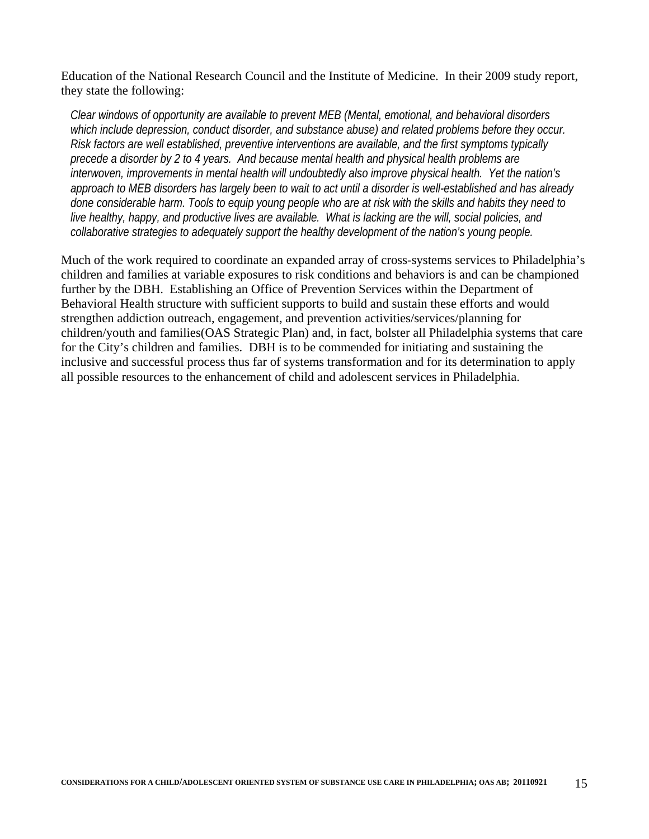Education of the National Research Council and the Institute of Medicine. In their 2009 study report, they state the following:

*Clear windows of opportunity are available to prevent MEB (Mental, emotional, and behavioral disorders which include depression, conduct disorder, and substance abuse) and related problems before they occur. Risk factors are well established, preventive interventions are available, and the first symptoms typically precede a disorder by 2 to 4 years. And because mental health and physical health problems are interwoven, improvements in mental health will undoubtedly also improve physical health. Yet the nation's approach to MEB disorders has largely been to wait to act until a disorder is well-established and has already done considerable harm. Tools to equip young people who are at risk with the skills and habits they need to live healthy, happy, and productive lives are available. What is lacking are the will, social policies, and collaborative strategies to adequately support the healthy development of the nation's young people.* 

Much of the work required to coordinate an expanded array of cross-systems services to Philadelphia's children and families at variable exposures to risk conditions and behaviors is and can be championed further by the DBH. Establishing an Office of Prevention Services within the Department of Behavioral Health structure with sufficient supports to build and sustain these efforts and would strengthen addiction outreach, engagement, and prevention activities/services/planning for children/youth and families(OAS Strategic Plan) and, in fact, bolster all Philadelphia systems that care for the City's children and families. DBH is to be commended for initiating and sustaining the inclusive and successful process thus far of systems transformation and for its determination to apply all possible resources to the enhancement of child and adolescent services in Philadelphia.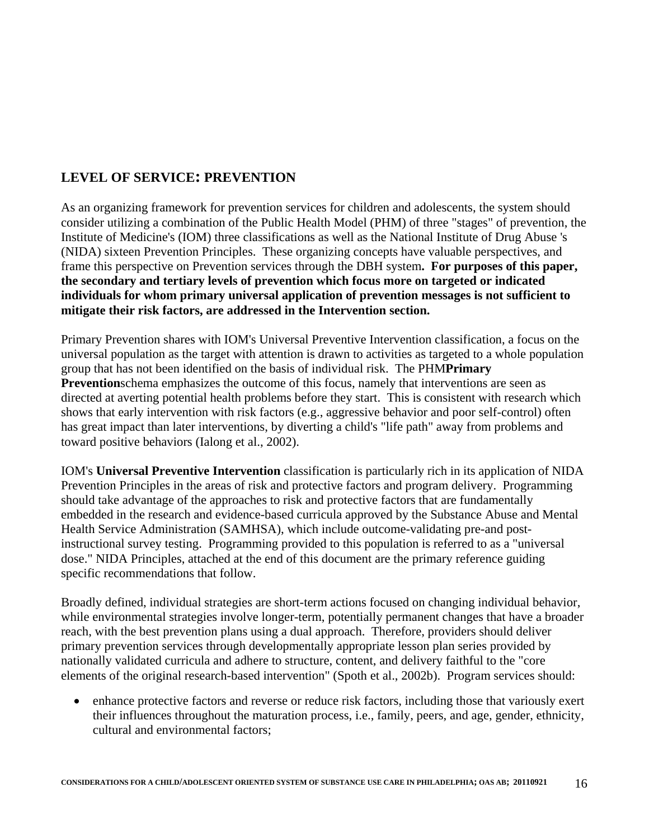### **LEVEL OF SERVICE: PREVENTION**

As an organizing framework for prevention services for children and adolescents, the system should consider utilizing a combination of the Public Health Model (PHM) of three "stages" of prevention, the Institute of Medicine's (IOM) three classifications as well as the National Institute of Drug Abuse 's (NIDA) sixteen Prevention Principles. These organizing concepts have valuable perspectives, and frame this perspective on Prevention services through the DBH system**. For purposes of this paper, the secondary and tertiary levels of prevention which focus more on targeted or indicated individuals for whom primary universal application of prevention messages is not sufficient to mitigate their risk factors, are addressed in the Intervention section.** 

Primary Prevention shares with IOM's Universal Preventive Intervention classification, a focus on the universal population as the target with attention is drawn to activities as targeted to a whole population group that has not been identified on the basis of individual risk. The PHM**Primary Prevention**schema emphasizes the outcome of this focus, namely that interventions are seen as directed at averting potential health problems before they start. This is consistent with research which shows that early intervention with risk factors (e.g., aggressive behavior and poor self-control) often has great impact than later interventions, by diverting a child's "life path" away from problems and toward positive behaviors (Ialong et al., 2002).

IOM's **Universal Preventive Intervention** classification is particularly rich in its application of NIDA Prevention Principles in the areas of risk and protective factors and program delivery. Programming should take advantage of the approaches to risk and protective factors that are fundamentally embedded in the research and evidence-based curricula approved by the Substance Abuse and Mental Health Service Administration (SAMHSA), which include outcome-validating pre-and postinstructional survey testing. Programming provided to this population is referred to as a "universal dose." NIDA Principles, attached at the end of this document are the primary reference guiding specific recommendations that follow.

Broadly defined, individual strategies are short-term actions focused on changing individual behavior, while environmental strategies involve longer-term, potentially permanent changes that have a broader reach, with the best prevention plans using a dual approach. Therefore, providers should deliver primary prevention services through developmentally appropriate lesson plan series provided by nationally validated curricula and adhere to structure, content, and delivery faithful to the "core elements of the original research-based intervention" (Spoth et al., 2002b). Program services should:

 enhance protective factors and reverse or reduce risk factors, including those that variously exert their influences throughout the maturation process, i.e., family, peers, and age, gender, ethnicity, cultural and environmental factors;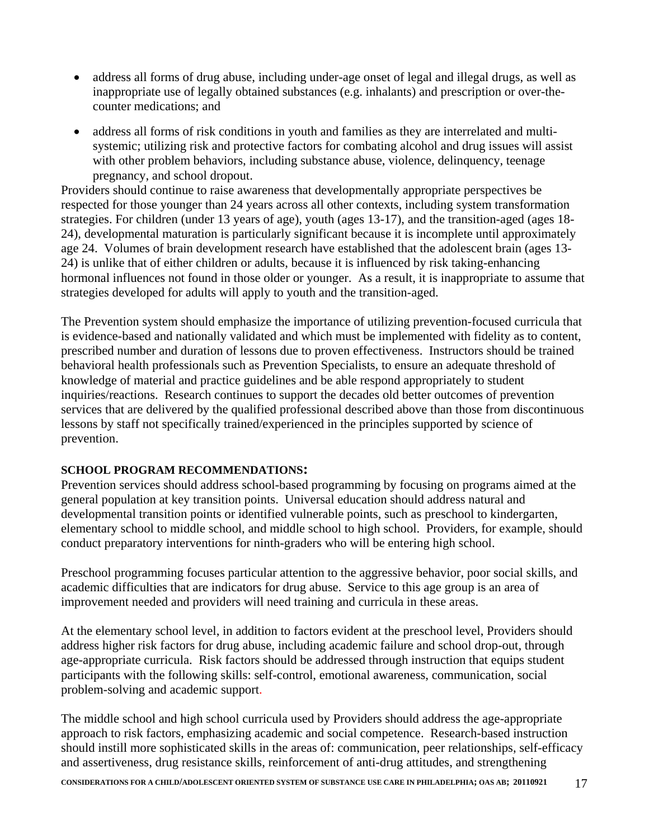- address all forms of drug abuse, including under-age onset of legal and illegal drugs, as well as inappropriate use of legally obtained substances (e.g. inhalants) and prescription or over-thecounter medications; and
- address all forms of risk conditions in youth and families as they are interrelated and multisystemic; utilizing risk and protective factors for combating alcohol and drug issues will assist with other problem behaviors, including substance abuse, violence, delinquency, teenage pregnancy, and school dropout.

Providers should continue to raise awareness that developmentally appropriate perspectives be respected for those younger than 24 years across all other contexts, including system transformation strategies. For children (under 13 years of age), youth (ages 13-17), and the transition-aged (ages 18- 24), developmental maturation is particularly significant because it is incomplete until approximately age 24. Volumes of brain development research have established that the adolescent brain (ages 13- 24) is unlike that of either children or adults, because it is influenced by risk taking-enhancing hormonal influences not found in those older or younger. As a result, it is inappropriate to assume that strategies developed for adults will apply to youth and the transition-aged.

The Prevention system should emphasize the importance of utilizing prevention-focused curricula that is evidence-based and nationally validated and which must be implemented with fidelity as to content, prescribed number and duration of lessons due to proven effectiveness. Instructors should be trained behavioral health professionals such as Prevention Specialists, to ensure an adequate threshold of knowledge of material and practice guidelines and be able respond appropriately to student inquiries/reactions. Research continues to support the decades old better outcomes of prevention services that are delivered by the qualified professional described above than those from discontinuous lessons by staff not specifically trained/experienced in the principles supported by science of prevention.

#### **SCHOOL PROGRAM RECOMMENDATIONS:**

Prevention services should address school-based programming by focusing on programs aimed at the general population at key transition points. Universal education should address natural and developmental transition points or identified vulnerable points, such as preschool to kindergarten, elementary school to middle school, and middle school to high school. Providers, for example, should conduct preparatory interventions for ninth-graders who will be entering high school.

Preschool programming focuses particular attention to the aggressive behavior, poor social skills, and academic difficulties that are indicators for drug abuse. Service to this age group is an area of improvement needed and providers will need training and curricula in these areas.

At the elementary school level, in addition to factors evident at the preschool level, Providers should address higher risk factors for drug abuse, including academic failure and school drop-out, through age-appropriate curricula. Risk factors should be addressed through instruction that equips student participants with the following skills: self-control, emotional awareness, communication, social problem-solving and academic support.

The middle school and high school curricula used by Providers should address the age-appropriate approach to risk factors, emphasizing academic and social competence. Research-based instruction should instill more sophisticated skills in the areas of: communication, peer relationships, self-efficacy and assertiveness, drug resistance skills, reinforcement of anti-drug attitudes, and strengthening

**CONSIDERATIONS FOR A CHILD/ADOLESCENT ORIENTED SYSTEM OF SUBSTANCE USE CARE IN PHILADELPHIA; OAS AB; 20110921** 17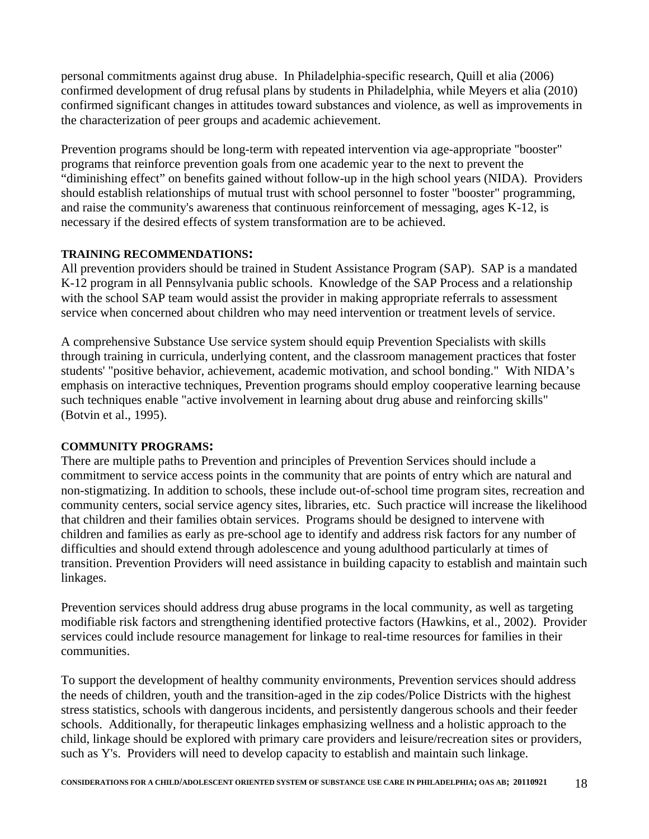personal commitments against drug abuse. In Philadelphia-specific research, Quill et alia (2006) confirmed development of drug refusal plans by students in Philadelphia, while Meyers et alia (2010) confirmed significant changes in attitudes toward substances and violence, as well as improvements in the characterization of peer groups and academic achievement.

Prevention programs should be long-term with repeated intervention via age-appropriate "booster" programs that reinforce prevention goals from one academic year to the next to prevent the "diminishing effect" on benefits gained without follow-up in the high school years (NIDA). Providers should establish relationships of mutual trust with school personnel to foster "booster" programming, and raise the community's awareness that continuous reinforcement of messaging, ages K-12, is necessary if the desired effects of system transformation are to be achieved.

#### **TRAINING RECOMMENDATIONS:**

All prevention providers should be trained in Student Assistance Program (SAP). SAP is a mandated K-12 program in all Pennsylvania public schools. Knowledge of the SAP Process and a relationship with the school SAP team would assist the provider in making appropriate referrals to assessment service when concerned about children who may need intervention or treatment levels of service.

A comprehensive Substance Use service system should equip Prevention Specialists with skills through training in curricula, underlying content, and the classroom management practices that foster students' "positive behavior, achievement, academic motivation, and school bonding." With NIDA's emphasis on interactive techniques, Prevention programs should employ cooperative learning because such techniques enable "active involvement in learning about drug abuse and reinforcing skills" (Botvin et al., 1995).

### **COMMUNITY PROGRAMS:**

There are multiple paths to Prevention and principles of Prevention Services should include a commitment to service access points in the community that are points of entry which are natural and non-stigmatizing. In addition to schools, these include out-of-school time program sites, recreation and community centers, social service agency sites, libraries, etc. Such practice will increase the likelihood that children and their families obtain services. Programs should be designed to intervene with children and families as early as pre-school age to identify and address risk factors for any number of difficulties and should extend through adolescence and young adulthood particularly at times of transition. Prevention Providers will need assistance in building capacity to establish and maintain such linkages.

Prevention services should address drug abuse programs in the local community, as well as targeting modifiable risk factors and strengthening identified protective factors (Hawkins, et al., 2002). Provider services could include resource management for linkage to real-time resources for families in their communities.

To support the development of healthy community environments, Prevention services should address the needs of children, youth and the transition-aged in the zip codes/Police Districts with the highest stress statistics, schools with dangerous incidents, and persistently dangerous schools and their feeder schools. Additionally, for therapeutic linkages emphasizing wellness and a holistic approach to the child, linkage should be explored with primary care providers and leisure/recreation sites or providers, such as Y's. Providers will need to develop capacity to establish and maintain such linkage.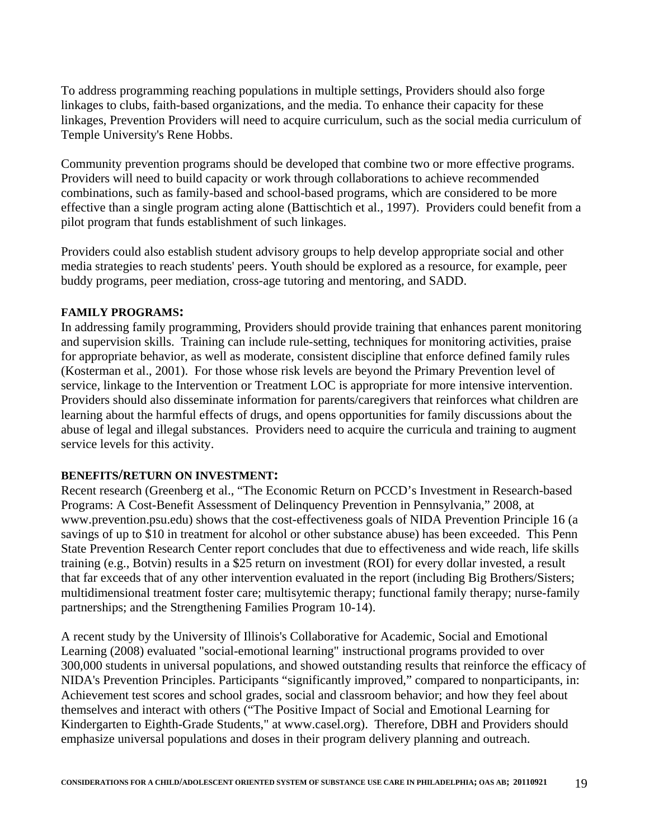To address programming reaching populations in multiple settings, Providers should also forge linkages to clubs, faith-based organizations, and the media. To enhance their capacity for these linkages, Prevention Providers will need to acquire curriculum, such as the social media curriculum of Temple University's Rene Hobbs.

Community prevention programs should be developed that combine two or more effective programs. Providers will need to build capacity or work through collaborations to achieve recommended combinations, such as family-based and school-based programs, which are considered to be more effective than a single program acting alone (Battischtich et al., 1997). Providers could benefit from a pilot program that funds establishment of such linkages.

Providers could also establish student advisory groups to help develop appropriate social and other media strategies to reach students' peers. Youth should be explored as a resource, for example, peer buddy programs, peer mediation, cross-age tutoring and mentoring, and SADD.

#### **FAMILY PROGRAMS:**

In addressing family programming, Providers should provide training that enhances parent monitoring and supervision skills. Training can include rule-setting, techniques for monitoring activities, praise for appropriate behavior, as well as moderate, consistent discipline that enforce defined family rules (Kosterman et al., 2001). For those whose risk levels are beyond the Primary Prevention level of service, linkage to the Intervention or Treatment LOC is appropriate for more intensive intervention. Providers should also disseminate information for parents/caregivers that reinforces what children are learning about the harmful effects of drugs, and opens opportunities for family discussions about the abuse of legal and illegal substances. Providers need to acquire the curricula and training to augment service levels for this activity.

#### **BENEFITS/RETURN ON INVESTMENT:**

Recent research (Greenberg et al., "The Economic Return on PCCD's Investment in Research-based Programs: A Cost-Benefit Assessment of Delinquency Prevention in Pennsylvania," 2008, at www.prevention.psu.edu) shows that the cost-effectiveness goals of NIDA Prevention Principle 16 (a savings of up to \$10 in treatment for alcohol or other substance abuse) has been exceeded. This Penn State Prevention Research Center report concludes that due to effectiveness and wide reach, life skills training (e.g., Botvin) results in a \$25 return on investment (ROI) for every dollar invested, a result that far exceeds that of any other intervention evaluated in the report (including Big Brothers/Sisters; multidimensional treatment foster care; multisytemic therapy; functional family therapy; nurse-family partnerships; and the Strengthening Families Program 10-14).

A recent study by the University of Illinois's Collaborative for Academic, Social and Emotional Learning (2008) evaluated "social-emotional learning" instructional programs provided to over 300,000 students in universal populations, and showed outstanding results that reinforce the efficacy of NIDA's Prevention Principles. Participants "significantly improved," compared to nonparticipants, in: Achievement test scores and school grades, social and classroom behavior; and how they feel about themselves and interact with others ("The Positive Impact of Social and Emotional Learning for Kindergarten to Eighth-Grade Students," at www.casel.org). Therefore, DBH and Providers should emphasize universal populations and doses in their program delivery planning and outreach.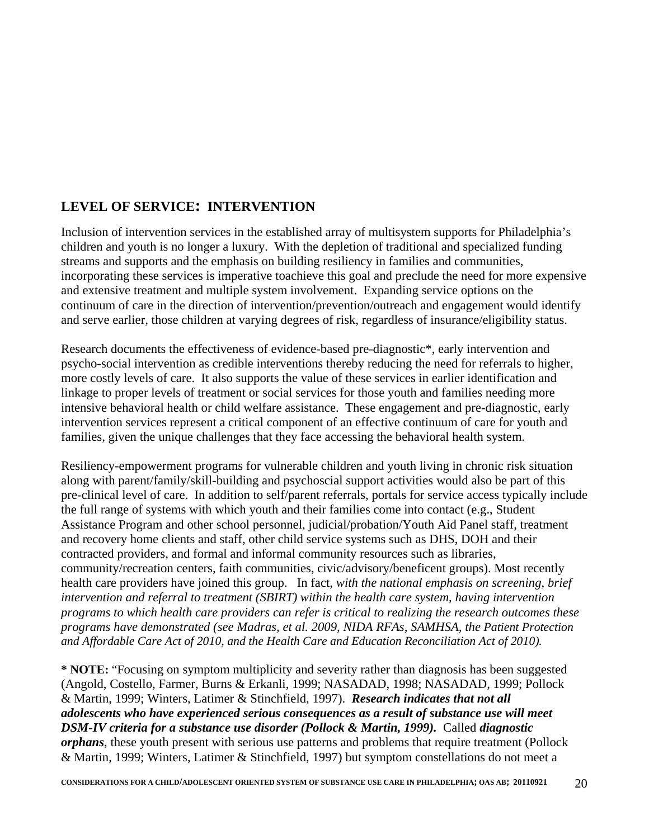### **LEVEL OF SERVICE: INTERVENTION**

Inclusion of intervention services in the established array of multisystem supports for Philadelphia's children and youth is no longer a luxury. With the depletion of traditional and specialized funding streams and supports and the emphasis on building resiliency in families and communities, incorporating these services is imperative toachieve this goal and preclude the need for more expensive and extensive treatment and multiple system involvement. Expanding service options on the continuum of care in the direction of intervention/prevention/outreach and engagement would identify and serve earlier, those children at varying degrees of risk, regardless of insurance/eligibility status.

Research documents the effectiveness of evidence-based pre-diagnostic\*, early intervention and psycho-social intervention as credible interventions thereby reducing the need for referrals to higher, more costly levels of care. It also supports the value of these services in earlier identification and linkage to proper levels of treatment or social services for those youth and families needing more intensive behavioral health or child welfare assistance. These engagement and pre-diagnostic, early intervention services represent a critical component of an effective continuum of care for youth and families, given the unique challenges that they face accessing the behavioral health system.

Resiliency-empowerment programs for vulnerable children and youth living in chronic risk situation along with parent/family/skill-building and psychoscial support activities would also be part of this pre-clinical level of care. In addition to self/parent referrals, portals for service access typically include the full range of systems with which youth and their families come into contact (e.g., Student Assistance Program and other school personnel, judicial/probation/Youth Aid Panel staff, treatment and recovery home clients and staff, other child service systems such as DHS, DOH and their contracted providers, and formal and informal community resources such as libraries, community/recreation centers, faith communities, civic/advisory/beneficent groups). Most recently health care providers have joined this group. In fact, *with the national emphasis on screening, brief intervention and referral to treatment (SBIRT) within the health care system, having intervention programs to which health care providers can refer is critical to realizing the research outcomes these programs have demonstrated (see Madras, et al. 2009, NIDA RFAs, SAMHSA, the Patient Protection and Affordable Care Act of 2010, and the Health Care and Education Reconciliation Act of 2010).*

**\* NOTE:** "Focusing on symptom multiplicity and severity rather than diagnosis has been suggested (Angold, Costello, Farmer, Burns & Erkanli, 1999; NASADAD, 1998; NASADAD, 1999; Pollock & Martin, 1999; Winters, Latimer & Stinchfield, 1997). *Research indicates that not all adolescents who have experienced serious consequences as a result of substance use will meet DSM-IV criteria for a substance use disorder (Pollock & Martin, 1999).* Called *diagnostic orphans*, these youth present with serious use patterns and problems that require treatment (Pollock & Martin, 1999; Winters, Latimer & Stinchfield, 1997) but symptom constellations do not meet a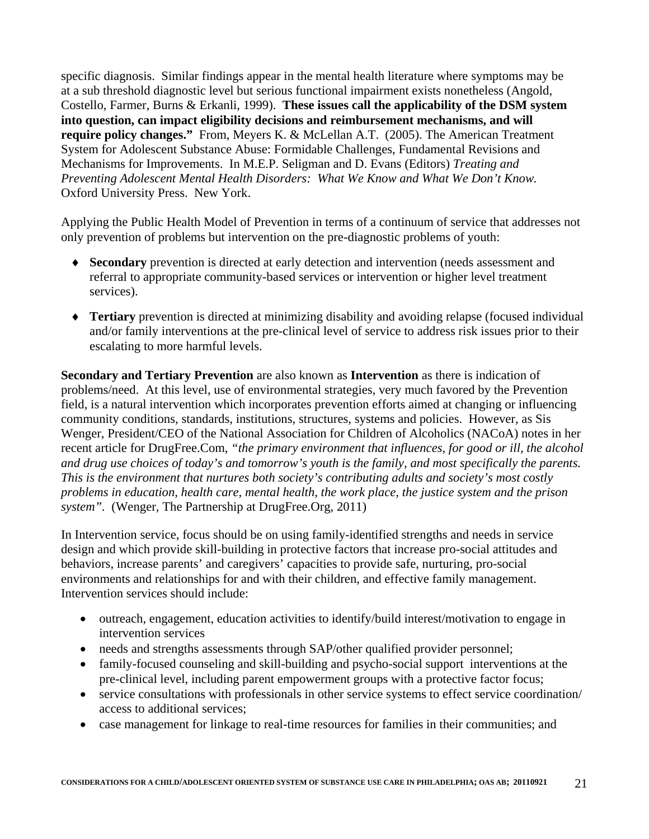specific diagnosis. Similar findings appear in the mental health literature where symptoms may be at a sub threshold diagnostic level but serious functional impairment exists nonetheless (Angold, Costello, Farmer, Burns & Erkanli, 1999). **These issues call the applicability of the DSM system into question, can impact eligibility decisions and reimbursement mechanisms, and will require policy changes."** From, Meyers K. & McLellan A.T. (2005). The American Treatment System for Adolescent Substance Abuse: Formidable Challenges, Fundamental Revisions and Mechanisms for Improvements. In M.E.P. Seligman and D. Evans (Editors) *Treating and Preventing Adolescent Mental Health Disorders: What We Know and What We Don't Know.* Oxford University Press. New York.

Applying the Public Health Model of Prevention in terms of a continuum of service that addresses not only prevention of problems but intervention on the pre-diagnostic problems of youth:

- **Secondary** prevention is directed at early detection and intervention (needs assessment and referral to appropriate community-based services or intervention or higher level treatment services).
- **Tertiary** prevention is directed at minimizing disability and avoiding relapse (focused individual and/or family interventions at the pre-clinical level of service to address risk issues prior to their escalating to more harmful levels.

**Secondary and Tertiary Prevention** are also known as **Intervention** as there is indication of problems/need. At this level, use of environmental strategies, very much favored by the Prevention field, is a natural intervention which incorporates prevention efforts aimed at changing or influencing community conditions, standards, institutions, structures, systems and policies. However, as Sis Wenger, President/CEO of the [National Association for Children of Alcoholics](http://www.nacoa.org/) (NACoA) notes in her recent article for DrugFree.Com, *"the primary environment that influences, for good or ill, the alcohol and drug use choices of today's and tomorrow's youth is the family, and most specifically the parents. This is the environment that nurtures both society's contributing adults and society's most costly problems in education, health care, mental health, the work place, the justice system and the prison system".* (Wenger, The Partnership at DrugFree.Org, 2011)

In Intervention service, focus should be on using family-identified strengths and needs in service design and which provide skill-building in protective factors that increase pro-social attitudes and behaviors, increase parents' and caregivers' capacities to provide safe, nurturing, pro-social environments and relationships for and with their children, and effective family management. Intervention services should include:

- outreach, engagement, education activities to identify/build interest/motivation to engage in intervention services
- needs and strengths assessments through SAP/other qualified provider personnel;
- family-focused counseling and skill-building and psycho-social support interventions at the pre-clinical level, including parent empowerment groups with a protective factor focus;
- service consultations with professionals in other service systems to effect service coordination/ access to additional services;
- case management for linkage to real-time resources for families in their communities; and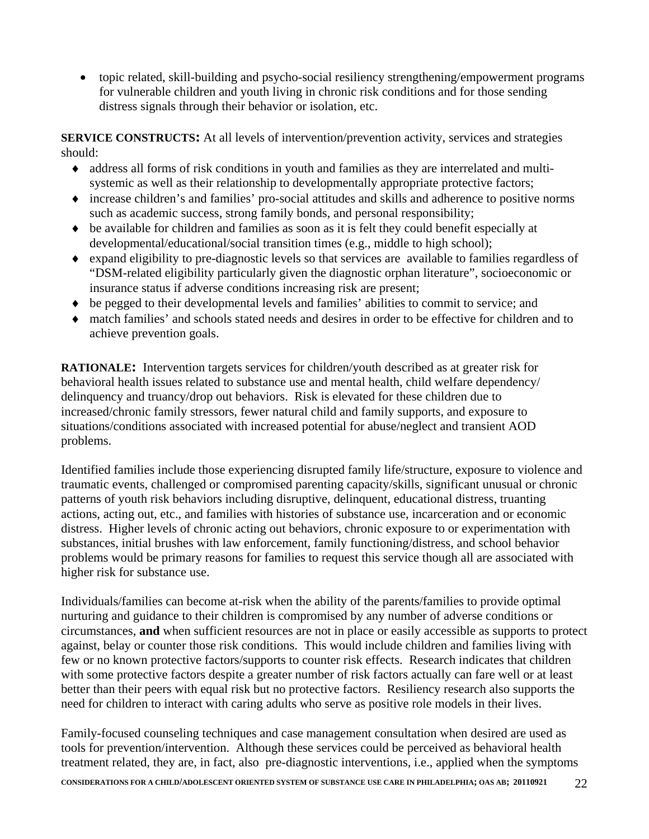topic related, skill-building and psycho-social resiliency strengthening/empowerment programs for vulnerable children and youth living in chronic risk conditions and for those sending distress signals through their behavior or isolation, etc.

**SERVICE CONSTRUCTS:** At all levels of intervention/prevention activity, services and strategies should:

- address all forms of risk conditions in youth and families as they are interrelated and multisystemic as well as their relationship to developmentally appropriate protective factors;
- increase children's and families' pro-social attitudes and skills and adherence to positive norms such as academic success, strong family bonds, and personal responsibility;
- $\bullet$  be available for children and families as soon as it is felt they could benefit especially at developmental/educational/social transition times (e.g., middle to high school);
- expand eligibility to pre-diagnostic levels so that services are available to families regardless of "DSM-related eligibility particularly given the diagnostic orphan literature", socioeconomic or insurance status if adverse conditions increasing risk are present;
- be pegged to their developmental levels and families' abilities to commit to service; and
- match families' and schools stated needs and desires in order to be effective for children and to achieve prevention goals.

**RATIONALE:** Intervention targets services for children/youth described as at greater risk for behavioral health issues related to substance use and mental health, child welfare dependency/ delinquency and truancy/drop out behaviors. Risk is elevated for these children due to increased/chronic family stressors, fewer natural child and family supports, and exposure to situations/conditions associated with increased potential for abuse/neglect and transient AOD problems.

Identified families include those experiencing disrupted family life/structure, exposure to violence and traumatic events, challenged or compromised parenting capacity/skills, significant unusual or chronic patterns of youth risk behaviors including disruptive, delinquent, educational distress, truanting actions, acting out, etc., and families with histories of substance use, incarceration and or economic distress. Higher levels of chronic acting out behaviors, chronic exposure to or experimentation with substances, initial brushes with law enforcement, family functioning/distress, and school behavior problems would be primary reasons for families to request this service though all are associated with higher risk for substance use.

Individuals/families can become at-risk when the ability of the parents/families to provide optimal nurturing and guidance to their children is compromised by any number of adverse conditions or circumstances, **and** when sufficient resources are not in place or easily accessible as supports to protect against, belay or counter those risk conditions. This would include children and families living with few or no known protective factors/supports to counter risk effects. Research indicates that children with some protective factors despite a greater number of risk factors actually can fare well or at least better than their peers with equal risk but no protective factors. Resiliency research also supports the need for children to interact with caring adults who serve as positive role models in their lives.

Family-focused counseling techniques and case management consultation when desired are used as tools for prevention/intervention. Although these services could be perceived as behavioral health treatment related, they are, in fact, also pre-diagnostic interventions, i.e., applied when the symptoms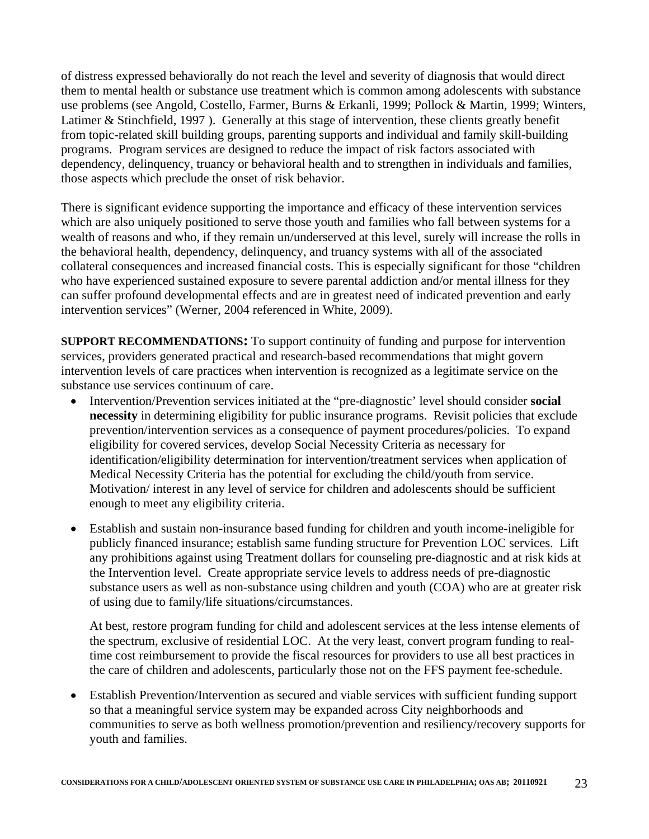of distress expressed behaviorally do not reach the level and severity of diagnosis that would direct them to mental health or substance use treatment which is common among adolescents with substance use problems (see Angold, Costello, Farmer, Burns & Erkanli, 1999; Pollock & Martin, 1999; Winters, Latimer & Stinchfield, 1997 ). Generally at this stage of intervention, these clients greatly benefit from topic-related skill building groups, parenting supports and individual and family skill-building programs. Program services are designed to reduce the impact of risk factors associated with dependency, delinquency, truancy or behavioral health and to strengthen in individuals and families, those aspects which preclude the onset of risk behavior.

There is significant evidence supporting the importance and efficacy of these intervention services which are also uniquely positioned to serve those youth and families who fall between systems for a wealth of reasons and who, if they remain un/underserved at this level, surely will increase the rolls in the behavioral health, dependency, delinquency, and truancy systems with all of the associated collateral consequences and increased financial costs. This is especially significant for those "children who have experienced sustained exposure to severe parental addiction and/or mental illness for they can suffer profound developmental effects and are in greatest need of indicated prevention and early intervention services" (Werner, 2004 referenced in White, 2009).

**SUPPORT RECOMMENDATIONS:** To support continuity of funding and purpose for intervention services, providers generated practical and research-based recommendations that might govern intervention levels of care practices when intervention is recognized as a legitimate service on the substance use services continuum of care.

- Intervention/Prevention services initiated at the "pre-diagnostic' level should consider **social necessity** in determining eligibility for public insurance programs. Revisit policies that exclude prevention/intervention services as a consequence of payment procedures/policies. To expand eligibility for covered services, develop Social Necessity Criteria as necessary for identification/eligibility determination for intervention/treatment services when application of Medical Necessity Criteria has the potential for excluding the child/youth from service. Motivation/ interest in any level of service for children and adolescents should be sufficient enough to meet any eligibility criteria.
- Establish and sustain non-insurance based funding for children and youth income-ineligible for publicly financed insurance; establish same funding structure for Prevention LOC services. Lift any prohibitions against using Treatment dollars for counseling pre-diagnostic and at risk kids at the Intervention level. Create appropriate service levels to address needs of pre-diagnostic substance users as well as non-substance using children and youth (COA) who are at greater risk of using due to family/life situations/circumstances.

At best, restore program funding for child and adolescent services at the less intense elements of the spectrum, exclusive of residential LOC. At the very least, convert program funding to realtime cost reimbursement to provide the fiscal resources for providers to use all best practices in the care of children and adolescents, particularly those not on the FFS payment fee-schedule.

 Establish Prevention/Intervention as secured and viable services with sufficient funding support so that a meaningful service system may be expanded across City neighborhoods and communities to serve as both wellness promotion/prevention and resiliency/recovery supports for youth and families.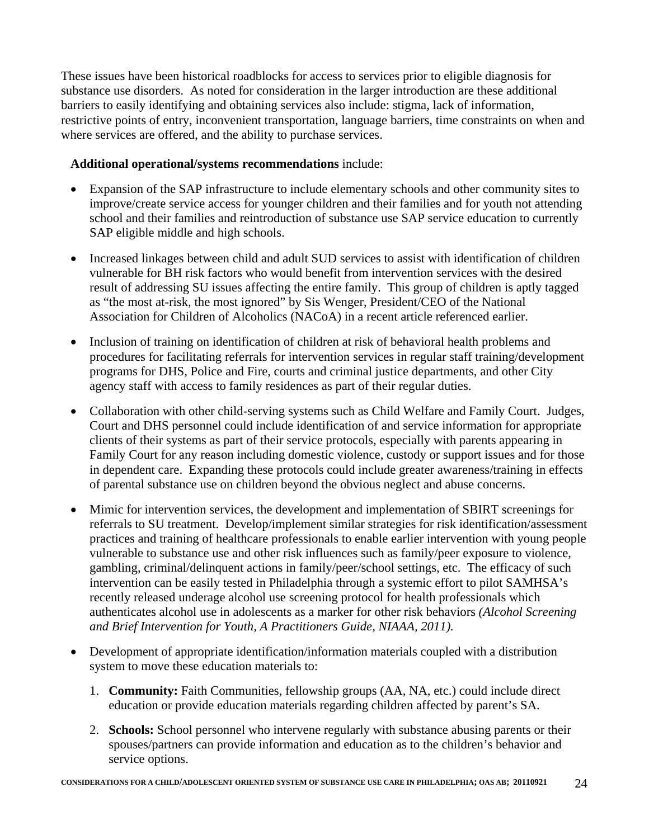These issues have been historical roadblocks for access to services prior to eligible diagnosis for substance use disorders. As noted for consideration in the larger introduction are these additional barriers to easily identifying and obtaining services also include: stigma, lack of information, restrictive points of entry, inconvenient transportation, language barriers, time constraints on when and where services are offered, and the ability to purchase services.

### **Additional operational/systems recommendations** include:

- Expansion of the SAP infrastructure to include elementary schools and other community sites to improve/create service access for younger children and their families and for youth not attending school and their families and reintroduction of substance use SAP service education to currently SAP eligible middle and high schools.
- Increased linkages between child and adult SUD services to assist with identification of children vulnerable for BH risk factors who would benefit from intervention services with the desired result of addressing SU issues affecting the entire family. This group of children is aptly tagged as "the most at-risk, the most ignored" by Sis Wenger, President/CEO of the [National](http://www.nacoa.org/)  [Association for Children of Alcoholics](http://www.nacoa.org/) (NACoA) in a recent article referenced earlier.
- Inclusion of training on identification of children at risk of behavioral health problems and procedures for facilitating referrals for intervention services in regular staff training/development programs for DHS, Police and Fire, courts and criminal justice departments, and other City agency staff with access to family residences as part of their regular duties.
- Collaboration with other child-serving systems such as Child Welfare and Family Court. Judges, Court and DHS personnel could include identification of and service information for appropriate clients of their systems as part of their service protocols, especially with parents appearing in Family Court for any reason including domestic violence, custody or support issues and for those in dependent care. Expanding these protocols could include greater awareness/training in effects of parental substance use on children beyond the obvious neglect and abuse concerns.
- Mimic for intervention services, the development and implementation of SBIRT screenings for referrals to SU treatment. Develop/implement similar strategies for risk identification/assessment practices and training of healthcare professionals to enable earlier intervention with young people vulnerable to substance use and other risk influences such as family/peer exposure to violence, gambling, criminal/delinquent actions in family/peer/school settings, etc. The efficacy of such intervention can be easily tested in Philadelphia through a systemic effort to pilot SAMHSA's recently released underage alcohol use screening protocol for health professionals which authenticates alcohol use in adolescents as a marker for other risk behaviors *(Alcohol Screening and Brief Intervention for Youth, A Practitioners Guide, NIAAA, 2011).*
- Development of appropriate identification/information materials coupled with a distribution system to move these education materials to:
	- 1. **Community:** Faith Communities, fellowship groups (AA, NA, etc.) could include direct education or provide education materials regarding children affected by parent's SA.
	- 2. **Schools:** School personnel who intervene regularly with substance abusing parents or their spouses/partners can provide information and education as to the children's behavior and service options.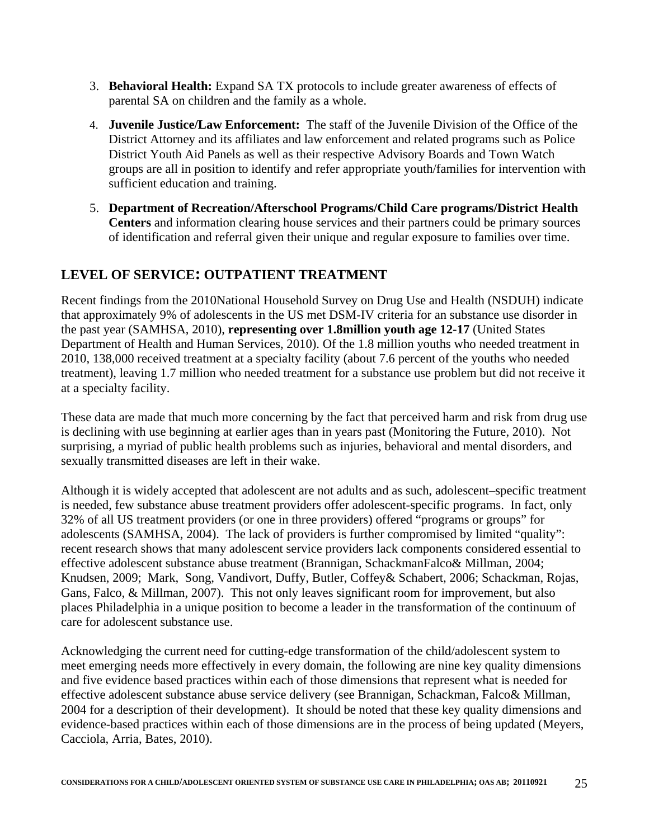- 3. **Behavioral Health:** Expand SA TX protocols to include greater awareness of effects of parental SA on children and the family as a whole.
- 4. **Juvenile Justice/Law Enforcement:** The staff of the Juvenile Division of the Office of the District Attorney and its affiliates and law enforcement and related programs such as Police District Youth Aid Panels as well as their respective Advisory Boards and Town Watch groups are all in position to identify and refer appropriate youth/families for intervention with sufficient education and training.
- 5. **Department of Recreation/Afterschool Programs/Child Care programs/District Health Centers** and information clearing house services and their partners could be primary sources of identification and referral given their unique and regular exposure to families over time.

### **LEVEL OF SERVICE: OUTPATIENT TREATMENT**

Recent findings from the 2010National Household Survey on Drug Use and Health (NSDUH) indicate that approximately 9% of adolescents in the US met DSM-IV criteria for an substance use disorder in the past year (SAMHSA, 2010), **representing over 1.8million youth age 12-17** (United States Department of Health and Human Services, 2010). Of the 1.8 million youths who needed treatment in 2010, 138,000 received treatment at a specialty facility (about 7.6 percent of the youths who needed treatment), leaving 1.7 million who needed treatment for a substance use problem but did not receive it at a specialty facility.

These data are made that much more concerning by the fact that perceived harm and risk from drug use is declining with use beginning at earlier ages than in years past (Monitoring the Future, 2010). Not surprising, a myriad of public health problems such as injuries, behavioral and mental disorders, and sexually transmitted diseases are left in their wake.

Although it is widely accepted that adolescent are not adults and as such, adolescent–specific treatment is needed, few substance abuse treatment providers offer adolescent-specific programs. In fact, only 32% of all US treatment providers (or one in three providers) offered "programs or groups" for adolescents (SAMHSA, 2004). The lack of providers is further compromised by limited "quality": recent research shows that many adolescent service providers lack components considered essential to effective adolescent substance abuse treatment (Brannigan, SchackmanFalco& Millman, 2004; Knudsen, 2009; Mark, Song, Vandivort, Duffy, Butler, Coffey& Schabert, 2006; Schackman, Rojas, Gans, Falco, & Millman, 2007). This not only leaves significant room for improvement, but also places Philadelphia in a unique position to become a leader in the transformation of the continuum of care for adolescent substance use.

Acknowledging the current need for cutting-edge transformation of the child/adolescent system to meet emerging needs more effectively in every domain, the following are nine key quality dimensions and five evidence based practices within each of those dimensions that represent what is needed for effective adolescent substance abuse service delivery (see Brannigan, Schackman, Falco& Millman, 2004 for a description of their development). It should be noted that these key quality dimensions and evidence-based practices within each of those dimensions are in the process of being updated (Meyers, Cacciola, Arria, Bates, 2010).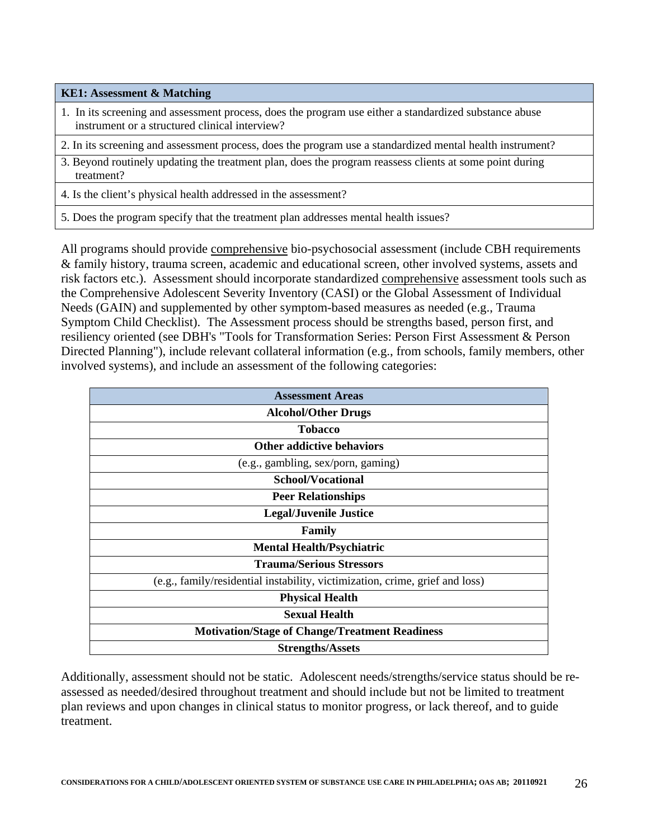**KE1: Assessment & Matching**

- 1. In its screening and assessment process, does the program use either a standardized substance abuse instrument or a structured clinical interview?
- 2. In its screening and assessment process, does the program use a standardized mental health instrument?
- 3. Beyond routinely updating the treatment plan, does the program reassess clients at some point during treatment?
- 4. Is the client's physical health addressed in the assessment?
- 5. Does the program specify that the treatment plan addresses mental health issues?

All programs should provide comprehensive bio-psychosocial assessment (include CBH requirements & family history, trauma screen, academic and educational screen, other involved systems, assets and risk factors etc.). Assessment should incorporate standardized comprehensive assessment tools such as the Comprehensive Adolescent Severity Inventory (CASI) or the Global Assessment of Individual Needs (GAIN) and supplemented by other symptom-based measures as needed (e.g., Trauma Symptom Child Checklist). The Assessment process should be strengths based, person first, and resiliency oriented (see DBH's "Tools for Transformation Series: Person First Assessment & Person Directed Planning"), include relevant collateral information (e.g., from schools, family members, other involved systems), and include an assessment of the following categories:

Additionally, assessment should not be static. Adolescent needs/strengths/service status should be reassessed as needed/desired throughout treatment and should include but not be limited to treatment plan reviews and upon changes in clinical status to monitor progress, or lack thereof, and to guide treatment.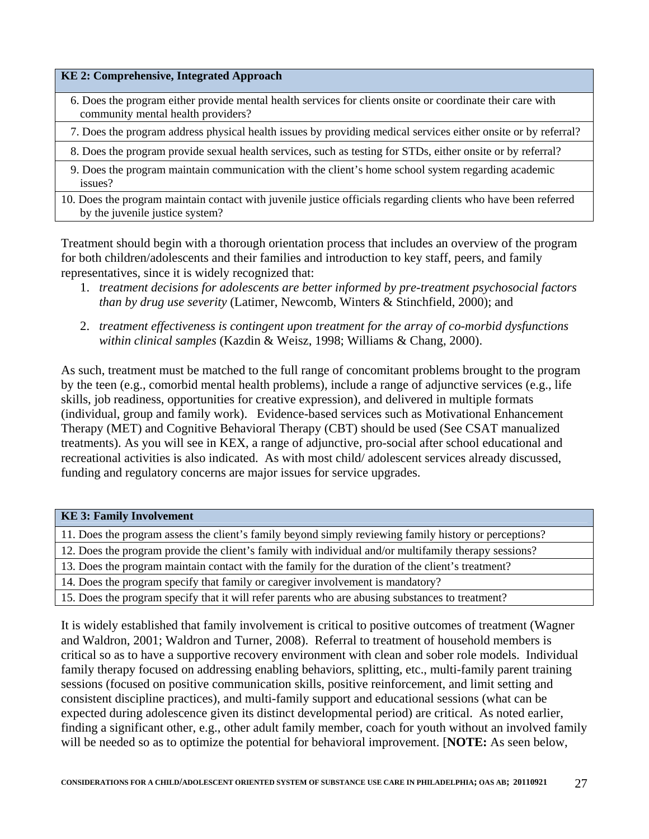#### **KE 2: Comprehensive, Integrated Approach**

- 6. Does the program either provide mental health services for clients onsite or coordinate their care with community mental health providers?
- 7. Does the program address physical health issues by providing medical services either onsite or by referral?
- 8. Does the program provide sexual health services, such as testing for STDs, either onsite or by referral?
- 9. Does the program maintain communication with the client's home school system regarding academic issues?
- 10. Does the program maintain contact with juvenile justice officials regarding clients who have been referred by the juvenile justice system?

Treatment should begin with a thorough orientation process that includes an overview of the program for both children/adolescents and their families and introduction to key staff, peers, and family representatives, since it is widely recognized that:

- 1. *treatment decisions for adolescents are better informed by pre-treatment psychosocial factors than by drug use severity* (Latimer, Newcomb, Winters & Stinchfield, 2000); and
- 2. *treatment effectiveness is contingent upon treatment for the array of co-morbid dysfunctions within clinical samples* (Kazdin & Weisz, 1998; Williams & Chang, 2000).

As such, treatment must be matched to the full range of concomitant problems brought to the program by the teen (e.g., comorbid mental health problems), include a range of adjunctive services (e.g., life skills, job readiness, opportunities for creative expression), and delivered in multiple formats (individual, group and family work). Evidence-based services such as Motivational Enhancement Therapy (MET) and Cognitive Behavioral Therapy (CBT) should be used (See CSAT manualized treatments). As you will see in KEX, a range of adjunctive, pro-social after school educational and recreational activities is also indicated. As with most child/ adolescent services already discussed, funding and regulatory concerns are major issues for service upgrades.

#### **KE 3: Family Involvement**

11. Does the program assess the client's family beyond simply reviewing family history or perceptions?

12. Does the program provide the client's family with individual and/or multifamily therapy sessions?

13. Does the program maintain contact with the family for the duration of the client's treatment?

14. Does the program specify that family or caregiver involvement is mandatory?

15. Does the program specify that it will refer parents who are abusing substances to treatment?

It is widely established that family involvement is critical to positive outcomes of treatment (Wagner and Waldron, 2001; Waldron and Turner, 2008). Referral to treatment of household members is critical so as to have a supportive recovery environment with clean and sober role models. Individual family therapy focused on addressing enabling behaviors, splitting, etc., multi-family parent training sessions (focused on positive communication skills, positive reinforcement, and limit setting and consistent discipline practices), and multi-family support and educational sessions (what can be expected during adolescence given its distinct developmental period) are critical. As noted earlier, finding a significant other, e.g., other adult family member, coach for youth without an involved family will be needed so as to optimize the potential for behavioral improvement. [**NOTE:** As seen below,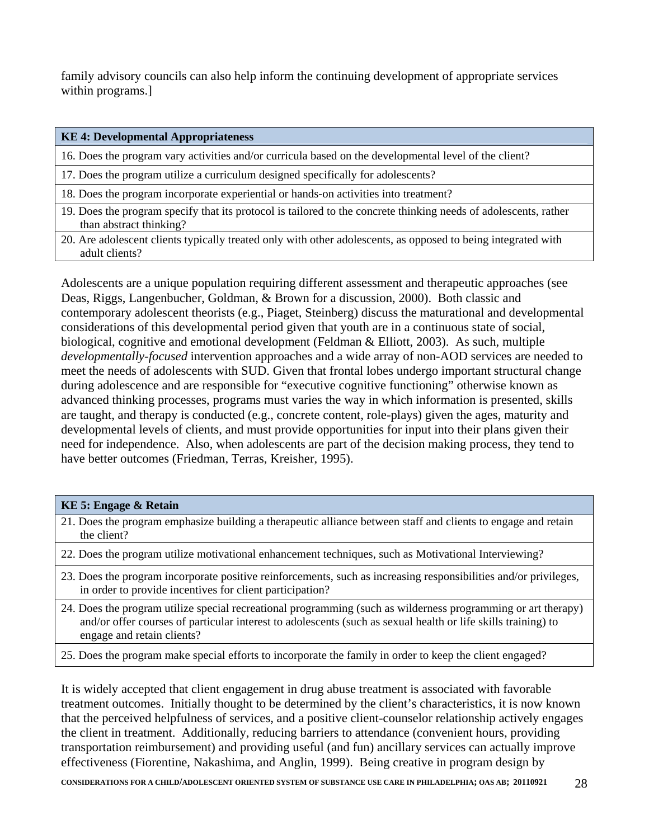family advisory councils can also help inform the continuing development of appropriate services within programs.]

| <b>KE 4: Developmental Appropriateness</b>                                                                                                  |
|---------------------------------------------------------------------------------------------------------------------------------------------|
| 16. Does the program vary activities and/or curricula based on the developmental level of the client?                                       |
| 17. Does the program utilize a curriculum designed specifically for adolescents?                                                            |
| 18. Does the program incorporate experiential or hands-on activities into treatment?                                                        |
| 19. Does the program specify that its protocol is tailored to the concrete thinking needs of adolescents, rather<br>than abstract thinking? |
| 20. Are adolescent clients typically treated only with other adolescents, as opposed to being integrated with<br>adult clients?             |
|                                                                                                                                             |

Adolescents are a unique population requiring different assessment and therapeutic approaches (see Deas, Riggs, Langenbucher, Goldman, & Brown for a discussion, 2000). Both classic and contemporary adolescent theorists (e.g., Piaget, Steinberg) discuss the maturational and developmental considerations of this developmental period given that youth are in a continuous state of social, biological, cognitive and emotional development (Feldman & Elliott, 2003). As such, multiple *developmentally-focused* intervention approaches and a wide array of non-AOD services are needed to meet the needs of adolescents with SUD. Given that frontal lobes undergo important structural change during adolescence and are responsible for "executive cognitive functioning" otherwise known as advanced thinking processes, programs must varies the way in which information is presented, skills are taught, and therapy is conducted (e.g., concrete content, role-plays) given the ages, maturity and developmental levels of clients, and must provide opportunities for input into their plans given their need for independence. Also, when adolescents are part of the decision making process, they tend to have better outcomes (Friedman, Terras, Kreisher, 1995).

| <b>KE 5: Engage &amp; Retain</b>                                                                                                                                                                                                                             |
|--------------------------------------------------------------------------------------------------------------------------------------------------------------------------------------------------------------------------------------------------------------|
| 21. Does the program emphasize building a therapeutic alliance between staff and clients to engage and retain<br>the client?                                                                                                                                 |
| 22. Does the program utilize motivational enhancement techniques, such as Motivational Interviewing?                                                                                                                                                         |
| 23. Does the program incorporate positive reinforcements, such as increasing responsibilities and/or privileges,<br>in order to provide incentives for client participation?                                                                                 |
| 24. Does the program utilize special recreational programming (such as wilderness programming or art therapy)<br>and/or offer courses of particular interest to adolescents (such as sexual health or life skills training) to<br>engage and retain clients? |
| 25. Does the program make special efforts to incorporate the family in order to keep the client engaged?                                                                                                                                                     |

It is widely accepted that client engagement in drug abuse treatment is associated with favorable treatment outcomes. Initially thought to be determined by the client's characteristics, it is now known that the perceived helpfulness of services, and a positive client-counselor relationship actively engages the client in treatment. Additionally, reducing barriers to attendance (convenient hours, providing transportation reimbursement) and providing useful (and fun) ancillary services can actually improve effectiveness (Fiorentine, Nakashima, and Anglin, 1999). Being creative in program design by

**CONSIDERATIONS FOR A CHILD/ADOLESCENT ORIENTED SYSTEM OF SUBSTANCE USE CARE IN PHILADELPHIA; OAS AB; 20110921** 28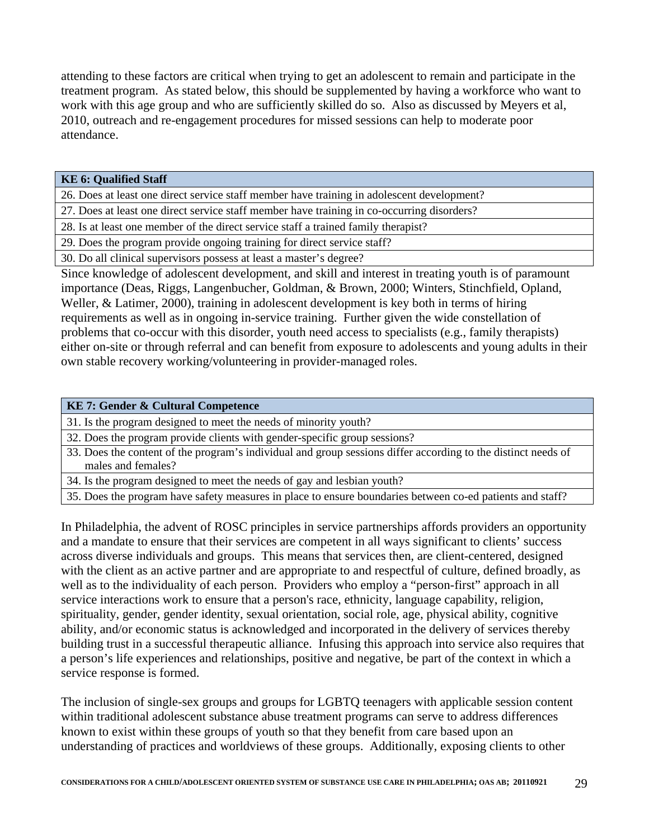attending to these factors are critical when trying to get an adolescent to remain and participate in the treatment program. As stated below, this should be supplemented by having a workforce who want to work with this age group and who are sufficiently skilled do so. Also as discussed by Meyers et al, 2010, outreach and re-engagement procedures for missed sessions can help to moderate poor attendance.

#### **KE 6: Qualified Staff**

26. Does at least one direct service staff member have training in adolescent development?

27. Does at least one direct service staff member have training in co-occurring disorders?

28. Is at least one member of the direct service staff a trained family therapist?

29. Does the program provide ongoing training for direct service staff?

30. Do all clinical supervisors possess at least a master's degree?

Since knowledge of adolescent development, and skill and interest in treating youth is of paramount importance (Deas, Riggs, Langenbucher, Goldman, & Brown, 2000; Winters, Stinchfield, Opland, Weller, & Latimer, 2000), training in adolescent development is key both in terms of hiring requirements as well as in ongoing in-service training. Further given the wide constellation of problems that co-occur with this disorder, youth need access to specialists (e.g., family therapists) either on-site or through referral and can benefit from exposure to adolescents and young adults in their own stable recovery working/volunteering in provider-managed roles.

#### **KE 7: Gender & Cultural Competence**

31. Is the program designed to meet the needs of minority youth?

32. Does the program provide clients with gender-specific group sessions?

33. Does the content of the program's individual and group sessions differ according to the distinct needs of males and females?

34. Is the program designed to meet the needs of gay and lesbian youth?

35. Does the program have safety measures in place to ensure boundaries between co-ed patients and staff?

In Philadelphia, the advent of ROSC principles in service partnerships affords providers an opportunity and a mandate to ensure that their services are competent in all ways significant to clients' success across diverse individuals and groups. This means that services then, are client-centered, designed with the client as an active partner and are appropriate to and respectful of culture, defined broadly, as well as to the individuality of each person. Providers who employ a "person-first" approach in all service interactions work to ensure that a person's race, ethnicity, language capability, religion, spirituality, gender, gender identity, sexual orientation, social role, age, physical ability, cognitive ability, and/or economic status is acknowledged and incorporated in the delivery of services thereby building trust in a successful therapeutic alliance. Infusing this approach into service also requires that a person's life experiences and relationships, positive and negative, be part of the context in which a service response is formed.

The inclusion of single-sex groups and groups for LGBTQ teenagers with applicable session content within traditional adolescent substance abuse treatment programs can serve to address differences known to exist within these groups of youth so that they benefit from care based upon an understanding of practices and worldviews of these groups. Additionally, exposing clients to other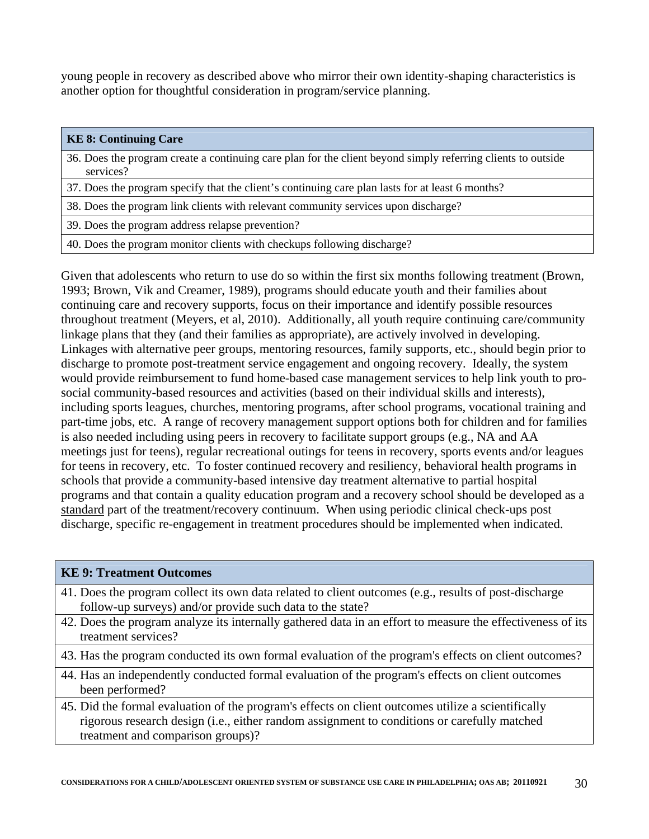young people in recovery as described above who mirror their own identity-shaping characteristics is another option for thoughtful consideration in program/service planning.

| <b>KE 8: Continuing Care</b>                                                                                              |
|---------------------------------------------------------------------------------------------------------------------------|
| 36. Does the program create a continuing care plan for the client beyond simply referring clients to outside<br>services? |
| 37. Does the program specify that the client's continuing care plan lasts for at least 6 months?                          |
| 38. Does the program link clients with relevant community services upon discharge?                                        |
| 39. Does the program address relapse prevention?                                                                          |
| 40. Does the program monitor clients with checkups following discharge?                                                   |
|                                                                                                                           |

Given that adolescents who return to use do so within the first six months following treatment (Brown, 1993; Brown, Vik and Creamer, 1989), programs should educate youth and their families about continuing care and recovery supports, focus on their importance and identify possible resources throughout treatment (Meyers, et al, 2010). Additionally, all youth require continuing care/community linkage plans that they (and their families as appropriate), are actively involved in developing. Linkages with alternative peer groups, mentoring resources, family supports, etc., should begin prior to discharge to promote post-treatment service engagement and ongoing recovery. Ideally, the system would provide reimbursement to fund home-based case management services to help link youth to prosocial community-based resources and activities (based on their individual skills and interests), including sports leagues, churches, mentoring programs, after school programs, vocational training and part-time jobs, etc. A range of recovery management support options both for children and for families is also needed including using peers in recovery to facilitate support groups (e.g., NA and AA meetings just for teens), regular recreational outings for teens in recovery, sports events and/or leagues for teens in recovery, etc. To foster continued recovery and resiliency, behavioral health programs in schools that provide a community-based intensive day treatment alternative to partial hospital programs and that contain a quality education program and a recovery school should be developed as a standard part of the treatment/recovery continuum. When using periodic clinical check-ups post discharge, specific re-engagement in treatment procedures should be implemented when indicated.

| <b>KE 9: Treatment Outcomes</b>                                                                                                   |
|-----------------------------------------------------------------------------------------------------------------------------------|
| 41. Does the program collect its own data related to client outcomes (e.g., results of post-discharge                             |
| follow-up surveys) and/or provide such data to the state?                                                                         |
| 42. Does the program analyze its internally gathered data in an effort to measure the effectiveness of its<br>treatment services? |
| 43. Has the program conducted its own formal evaluation of the program's effects on client outcomes?                              |
| 44. Has an independently conducted formal evaluation of the program's effects on client outcomes<br>been performed?               |
| 45. Did the formal evaluation of the program's effects on client outcomes utilize a scientifically                                |
| rigorous research design (i.e., either random assignment to conditions or carefully matched                                       |
| treatment and comparison groups)?                                                                                                 |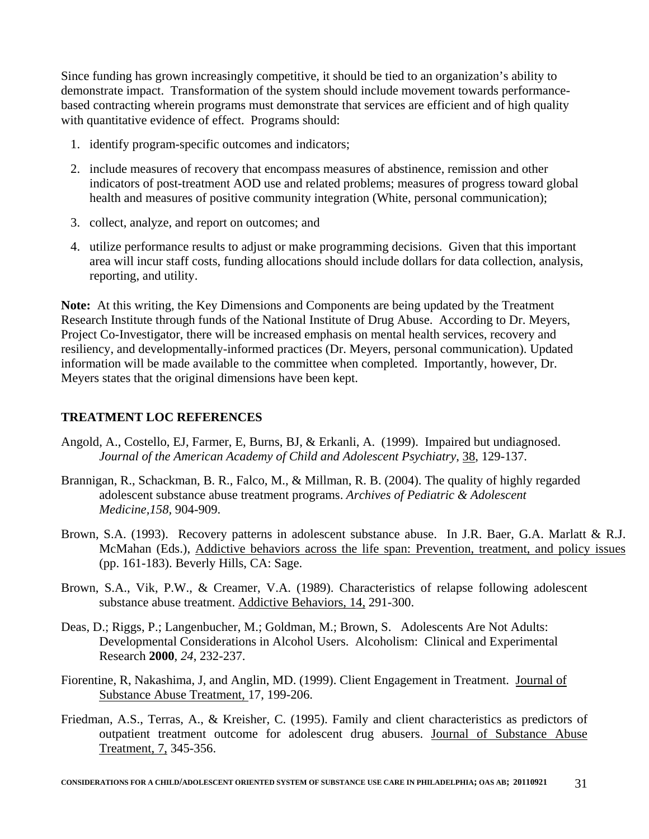Since funding has grown increasingly competitive, it should be tied to an organization's ability to demonstrate impact. Transformation of the system should include movement towards performancebased contracting wherein programs must demonstrate that services are efficient and of high quality with quantitative evidence of effect. Programs should:

- 1. identify program-specific outcomes and indicators;
- 2. include measures of recovery that encompass measures of abstinence, remission and other indicators of post-treatment AOD use and related problems; measures of progress toward global health and measures of positive community integration (White, personal communication);
- 3. collect, analyze, and report on outcomes; and
- 4. utilize performance results to adjust or make programming decisions. Given that this important area will incur staff costs, funding allocations should include dollars for data collection, analysis, reporting, and utility.

**Note:** At this writing, the Key Dimensions and Components are being updated by the Treatment Research Institute through funds of the National Institute of Drug Abuse. According to Dr. Meyers, Project Co-Investigator, there will be increased emphasis on mental health services, recovery and resiliency, and developmentally-informed practices (Dr. Meyers, personal communication). Updated information will be made available to the committee when completed. Importantly, however, Dr. Meyers states that the original dimensions have been kept.

#### **TREATMENT LOC REFERENCES**

- Angold, A., Costello, EJ, Farmer, E, Burns, BJ, & Erkanli, A. (1999). Impaired but undiagnosed. *Journal of the American Academy of Child and Adolescent Psychiatry*, 38, 129-137.
- Brannigan, R., Schackman, B. R., Falco, M., & Millman, R. B. (2004). The quality of highly regarded adolescent substance abuse treatment programs. *Archives of Pediatric & Adolescent Medicine,158,* 904-909.
- Brown, S.A. (1993). Recovery patterns in adolescent substance abuse. In J.R. Baer, G.A. Marlatt & R.J. McMahan (Eds.), Addictive behaviors across the life span: Prevention, treatment, and policy issues (pp. 161-183). Beverly Hills, CA: Sage.
- Brown, S.A., Vik, P.W., & Creamer, V.A. (1989). Characteristics of relapse following adolescent substance abuse treatment. Addictive Behaviors, 14, 291-300.
- Deas, D.; Riggs, P.; Langenbucher, M.; Goldman, M.; Brown, S. Adolescents Are Not Adults: Developmental Considerations in Alcohol Users. Alcoholism: Clinical and Experimental Research **2000**, *24*, 232-237.
- Fiorentine, R, Nakashima, J, and Anglin, MD. (1999). Client Engagement in Treatment. Journal of Substance Abuse Treatment, 17, 199-206.
- Friedman, A.S., Terras, A., & Kreisher, C. (1995). Family and client characteristics as predictors of outpatient treatment outcome for adolescent drug abusers. Journal of Substance Abuse Treatment, 7, 345-356.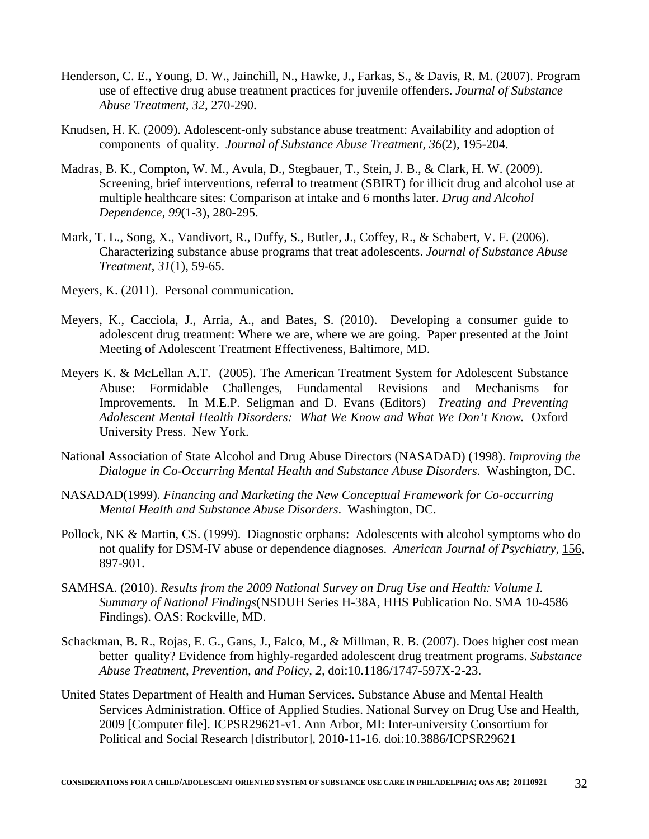- Henderson, C. E., Young, D. W., Jainchill, N., Hawke, J., Farkas, S., & Davis, R. M. (2007). Program use of effective drug abuse treatment practices for juvenile offenders. *Journal of Substance Abuse Treatment, 32,* 270-290.
- Knudsen, H. K. (2009). Adolescent-only substance abuse treatment: Availability and adoption of components of quality. *Journal of Substance Abuse Treatment, 36*(2), 195-204.
- Madras, B. K., Compton, W. M., Avula, D., Stegbauer, T., Stein, J. B., & Clark, H. W. (2009). Screening, brief interventions, referral to treatment (SBIRT) for illicit drug and alcohol use at multiple healthcare sites: Comparison at intake and 6 months later. *Drug and Alcohol Dependence, 99*(1-3), 280-295.
- Mark, T. L., Song, X., Vandivort, R., Duffy, S., Butler, J., Coffey, R., & Schabert, V. F. (2006). Characterizing substance abuse programs that treat adolescents. *Journal of Substance Abuse Treatment*, *31*(1), 59-65.
- Meyers, K. (2011). Personal communication.
- Meyers, K., Cacciola, J., Arria, A., and Bates, S. (2010). Developing a consumer guide to adolescent drug treatment: Where we are, where we are going. Paper presented at the Joint Meeting of Adolescent Treatment Effectiveness, Baltimore, MD.
- Meyers K. & McLellan A.T. (2005). The American Treatment System for Adolescent Substance Abuse: Formidable Challenges, Fundamental Revisions and Mechanisms for Improvements. In M.E.P. Seligman and D. Evans (Editors) *Treating and Preventing Adolescent Mental Health Disorders: What We Know and What We Don't Know.* Oxford University Press. New York.
- National Association of State Alcohol and Drug Abuse Directors (NASADAD) (1998). *Improving the Dialogue in Co-Occurring Mental Health and Substance Abuse Disorders*. Washington, DC.
- NASADAD(1999). *Financing and Marketing the New Conceptual Framework for Co-occurring Mental Health and Substance Abuse Disorders*. Washington, DC.
- Pollock, NK & Martin, CS. (1999). Diagnostic orphans: Adolescents with alcohol symptoms who do not qualify for DSM-IV abuse or dependence diagnoses. *American Journal of Psychiatry*, 156, 897-901.
- SAMHSA. (2010). *Results from the 2009 National Survey on Drug Use and Health: Volume I. Summary of National Findings*(NSDUH Series H-38A, HHS Publication No. SMA 10-4586 Findings). OAS: Rockville, MD.
- Schackman, B. R., Rojas, E. G., Gans, J., Falco, M., & Millman, R. B. (2007). Does higher cost mean better quality? Evidence from highly-regarded adolescent drug treatment programs. *Substance Abuse Treatment, Prevention, and Policy, 2,* doi:10.1186/1747-597X-2-23.
- United States Department of Health and Human Services. Substance Abuse and Mental Health Services Administration. Office of Applied Studies. National Survey on Drug Use and Health, 2009 [Computer file]. ICPSR29621-v1. Ann Arbor, MI: Inter-university Consortium for Political and Social Research [distributor], 2010-11-16. doi:10.3886/ICPSR29621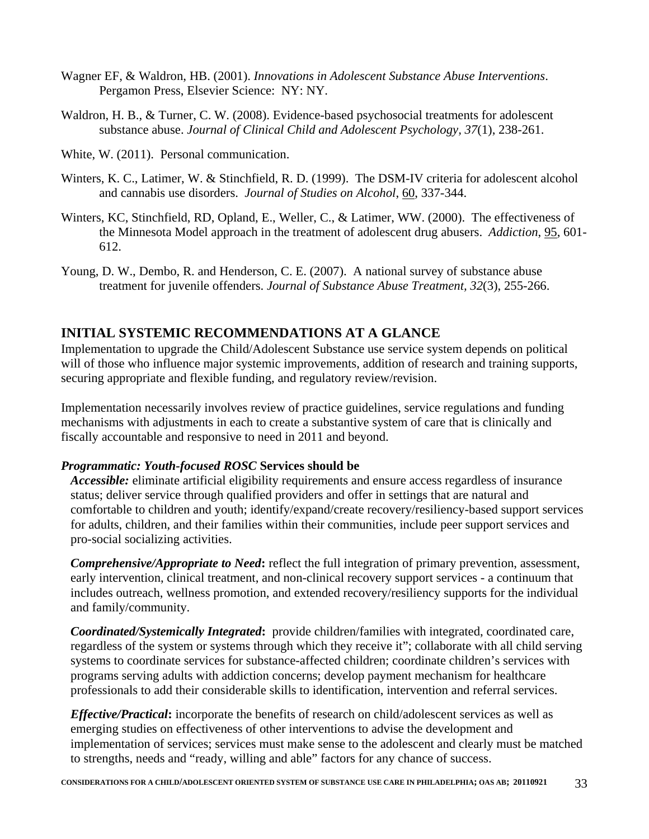- Wagner EF, & Waldron, HB. (2001). *Innovations in Adolescent Substance Abuse Interventions*. Pergamon Press, Elsevier Science: NY: NY.
- Waldron, H. B., & Turner, C. W. (2008). Evidence-based psychosocial treatments for adolescent substance abuse. *Journal of Clinical Child and Adolescent Psychology, 37*(1), 238-261.
- White, W. (2011). Personal communication.
- Winters, K. C., Latimer, W. & Stinchfield, R. D. (1999). The DSM-IV criteria for adolescent alcohol and cannabis use disorders. *Journal of Studies on Alcohol*, 60, 337-344.
- Winters, KC, Stinchfield, RD, Opland, E., Weller, C., & Latimer, WW. (2000). The effectiveness of the Minnesota Model approach in the treatment of adolescent drug abusers. *Addiction*, 95, 601- 612.
- Young, D. W., Dembo, R. and Henderson, C. E. (2007). A national survey of substance abuse treatment for juvenile offenders. *Journal of Substance Abuse Treatment, 32*(3), 255-266.

### **INITIAL SYSTEMIC RECOMMENDATIONS AT A GLANCE**

Implementation to upgrade the Child/Adolescent Substance use service system depends on political will of those who influence major systemic improvements, addition of research and training supports, securing appropriate and flexible funding, and regulatory review/revision.

Implementation necessarily involves review of practice guidelines, service regulations and funding mechanisms with adjustments in each to create a substantive system of care that is clinically and fiscally accountable and responsive to need in 2011 and beyond.

#### *Programmatic: Youth-focused ROSC* **Services should be**

*Accessible:* eliminate artificial eligibility requirements and ensure access regardless of insurance status; deliver service through qualified providers and offer in settings that are natural and comfortable to children and youth; identify/expand/create recovery/resiliency-based support services for adults, children, and their families within their communities, include peer support services and pro-social socializing activities.

*Comprehensive/Appropriate to Need***:** reflect the full integration of primary prevention, assessment, early intervention, clinical treatment, and non-clinical recovery support services - a continuum that includes outreach, wellness promotion, and extended recovery/resiliency supports for the individual and family/community.

*Coordinated/Systemically Integrated***:** provide children/families with integrated, coordinated care, regardless of the system or systems through which they receive it"; collaborate with all child serving systems to coordinate services for substance-affected children; coordinate children's services with programs serving adults with addiction concerns; develop payment mechanism for healthcare professionals to add their considerable skills to identification, intervention and referral services.

*Effective/Practical***:** incorporate the benefits of research on child/adolescent services as well as emerging studies on effectiveness of other interventions to advise the development and implementation of services; services must make sense to the adolescent and clearly must be matched to strengths, needs and "ready, willing and able" factors for any chance of success.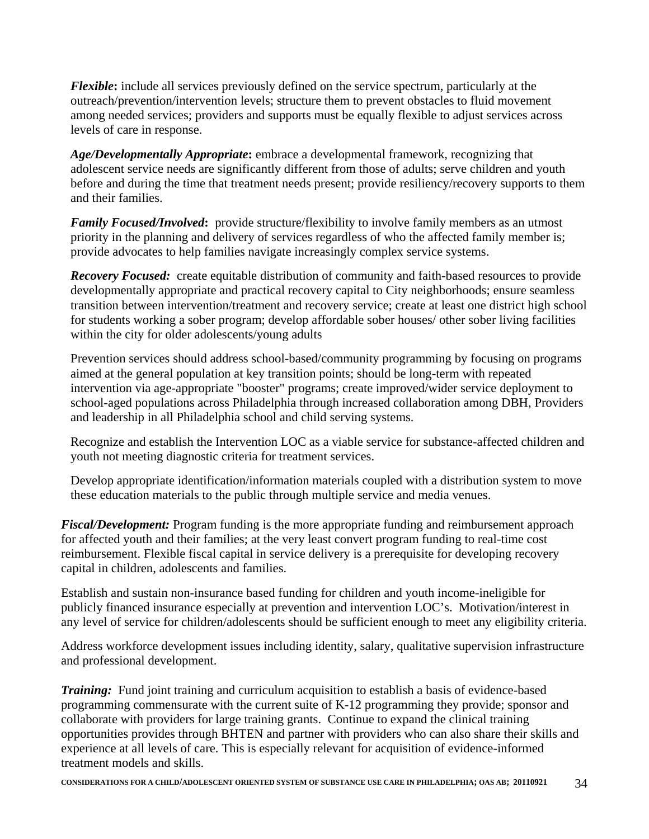*Flexible***:** include all services previously defined on the service spectrum, particularly at the outreach/prevention/intervention levels; structure them to prevent obstacles to fluid movement among needed services; providers and supports must be equally flexible to adjust services across levels of care in response.

*Age/Developmentally Appropriate***:** embrace a developmental framework, recognizing that adolescent service needs are significantly different from those of adults; serve children and youth before and during the time that treatment needs present; provide resiliency/recovery supports to them and their families.

*Family Focused/Involved:* provide structure/flexibility to involve family members as an utmost priority in the planning and delivery of services regardless of who the affected family member is; provide advocates to help families navigate increasingly complex service systems.

*Recovery Focused:* create equitable distribution of community and faith-based resources to provide developmentally appropriate and practical recovery capital to City neighborhoods; ensure seamless transition between intervention/treatment and recovery service; create at least one district high school for students working a sober program; develop affordable sober houses/ other sober living facilities within the city for older adolescents/young adults

Prevention services should address school-based/community programming by focusing on programs aimed at the general population at key transition points; should be long-term with repeated intervention via age-appropriate "booster" programs; create improved/wider service deployment to school-aged populations across Philadelphia through increased collaboration among DBH, Providers and leadership in all Philadelphia school and child serving systems.

Recognize and establish the Intervention LOC as a viable service for substance-affected children and youth not meeting diagnostic criteria for treatment services.

Develop appropriate identification/information materials coupled with a distribution system to move these education materials to the public through multiple service and media venues.

*Fiscal/Development:* Program funding is the more appropriate funding and reimbursement approach for affected youth and their families; at the very least convert program funding to real-time cost reimbursement. Flexible fiscal capital in service delivery is a prerequisite for developing recovery capital in children, adolescents and families.

Establish and sustain non-insurance based funding for children and youth income-ineligible for publicly financed insurance especially at prevention and intervention LOC's. Motivation/interest in any level of service for children/adolescents should be sufficient enough to meet any eligibility criteria.

Address workforce development issues including identity, salary, qualitative supervision infrastructure and professional development.

*Training:* Fund joint training and curriculum acquisition to establish a basis of evidence-based programming commensurate with the current suite of K-12 programming they provide; sponsor and collaborate with providers for large training grants. Continue to expand the clinical training opportunities provides through BHTEN and partner with providers who can also share their skills and experience at all levels of care. This is especially relevant for acquisition of evidence-informed treatment models and skills.